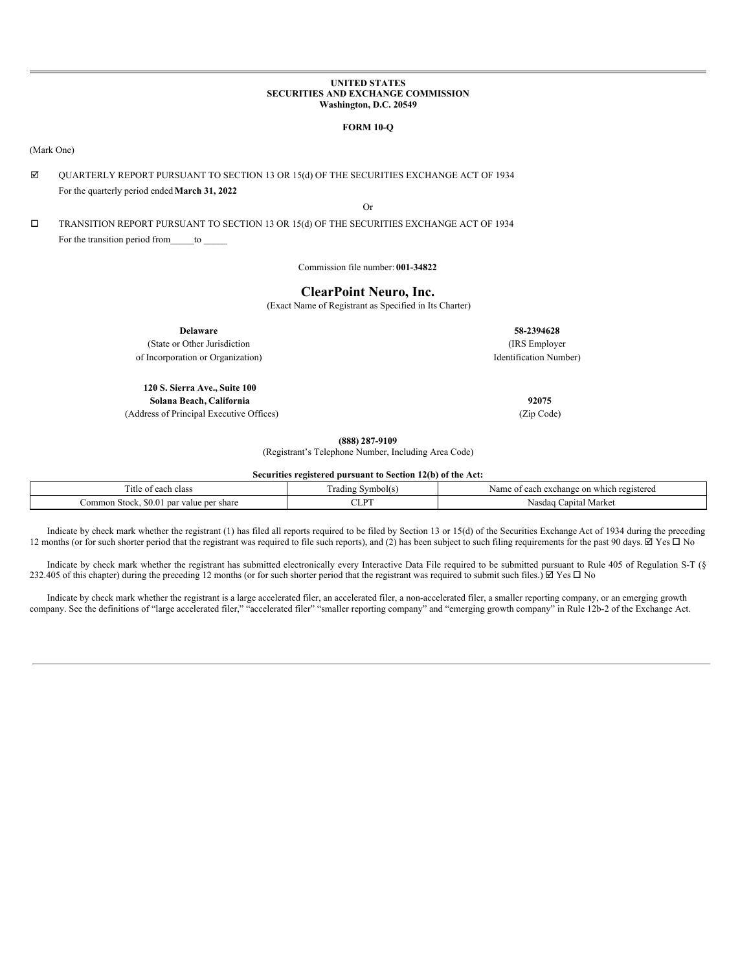#### **UNITED STATES SECURITIES AND EXCHANGE COMMISSION Washington, D.C. 20549**

## **FORM 10-Q**

(Mark One)

 $\boxtimes$  QUARTERLY REPORT PURSUANT TO SECTION 13 OR 15(d) OF THE SECURITIES EXCHANGE ACT OF 1934 For the quarterly period ended**March 31, 2022**

Or

o TRANSITION REPORT PURSUANT TO SECTION 13 OR 15(d) OF THE SECURITIES EXCHANGE ACT OF 1934 For the transition period from to

Commission file number: **001-34822**

# **ClearPoint Neuro, Inc.**

(Exact Name of Registrant as Specified in Its Charter)

**Delaware 58-2394628** (State or Other Jurisdiction (IRS Employer of Incorporation or Organization) Identification Number)

**120 S. Sierra Ave., Suite 100 Solana Beach, California 92075**

(Address of Principal Executive Offices) (Zip Code)

**(888) 287-9109**

(Registrant's Telephone Number, Including Area Code)

**Securities registered pursuant to Section 12(b) of the Act:**

| . 1tle<br>class<br>$\alpha$<br>OТ<br><b>CAU</b>               | <b>CONTRACTOR</b><br>rading<br>$\mathcal{S}$ vmbole. | which registered<br>.on<br>$\Delta$<br>e or<br>each<br> |
|---------------------------------------------------------------|------------------------------------------------------|---------------------------------------------------------|
| <b>SO.O</b><br>ommon<br>ner share<br>⊢Stock.<br>∵value<br>par | <b>DT</b>                                            | Market<br>Capital<br>ısdaq<br>ма                        |

Indicate by check mark whether the registrant (1) has filed all reports required to be filed by Section 13 or 15(d) of the Securities Exchange Act of 1934 during the preceding 12 months (or for such shorter period that the registrant was required to file such reports), and (2) has been subject to such filing requirements for the past 90 days.  $\vec{\mathbb{Z}}$  Yes  $\Box$  No

Indicate by check mark whether the registrant has submitted electronically every Interactive Data File required to be submitted pursuant to Rule 405 of Regulation S-T (§ 232.405 of this chapter) during the preceding 12 months (or for such shorter period that the registrant was required to submit such files.)  $\boxtimes$  Yes  $\Box$  No

Indicate by check mark whether the registrant is a large accelerated filer, an accelerated filer, a non-accelerated filer, a smaller reporting company, or an emerging growth company. See the definitions of "large accelerated filer," "accelerated filer" "smaller reporting company" and "emerging growth company" in Rule 12b-2 of the Exchange Act.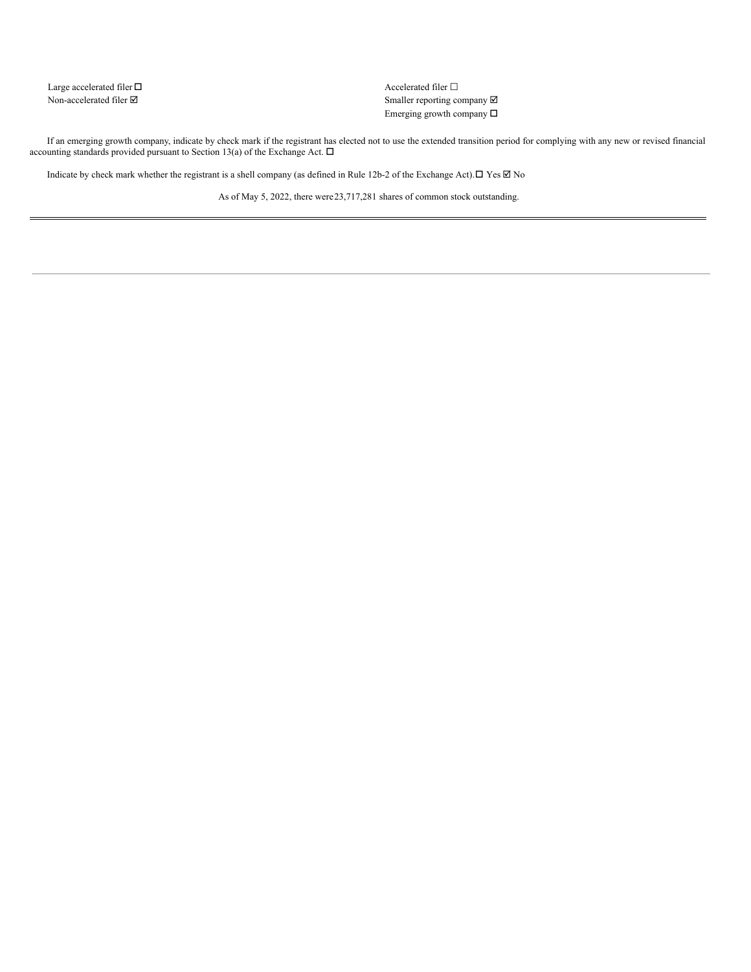Large accelerated filer  $\square$  Accelerated filer  $\square$ 

Non-accelerated filer  $\boxtimes$ Emerging growth company  $\Box$ 

If an emerging growth company, indicate by check mark if the registrant has elected not to use the extended transition period for complying with any new or revised financial accounting standards provided pursuant to Section 13(a) of the Exchange Act.  $\Box$ 

Indicate by check mark whether the registrant is a shell company (as defined in Rule 12b-2 of the Exchange Act).  $\Box$  Yes  $\Box$  No

As of May 5, 2022, there were23,717,281 shares of common stock outstanding.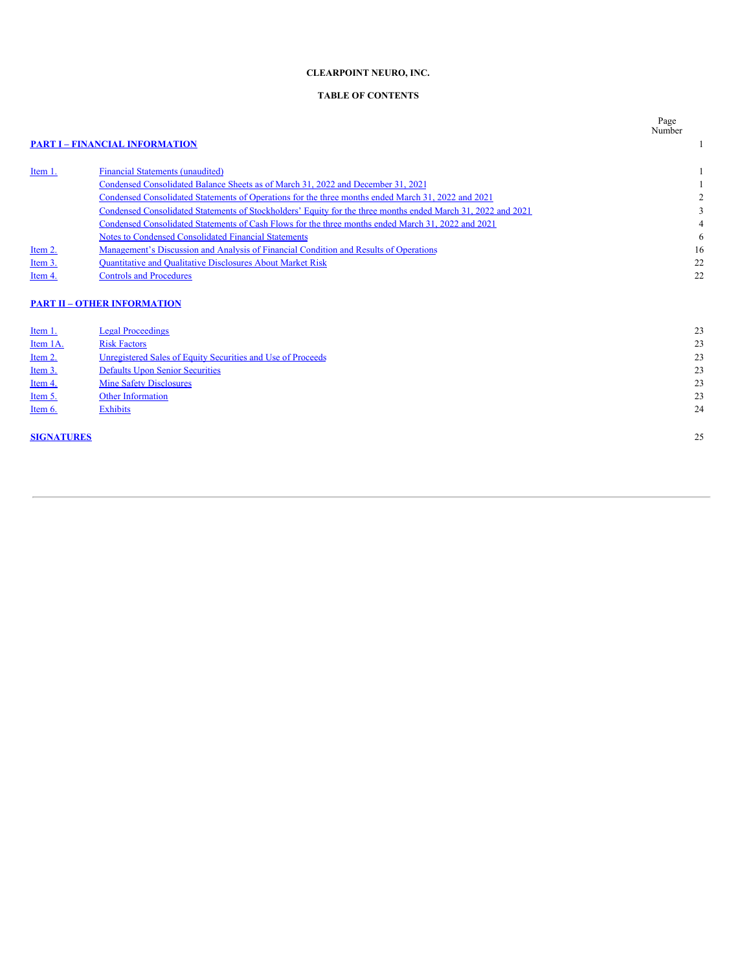# **CLEARPOINT NEURO, INC.**

# **TABLE OF CONTENTS**

Page Number

# **PART I – FINANCIAL [INFORMATION](#page-3-0)** [1](#page-3-0)

| Item 1.  | <b>Financial Statements (unaudited)</b>                                                                      |    |
|----------|--------------------------------------------------------------------------------------------------------------|----|
|          | Condensed Consolidated Balance Sheets as of March 31, 2022 and December 31, 2021                             |    |
|          | Condensed Consolidated Statements of Operations for the three months ended March 31, 2022 and 2021           |    |
|          | Condensed Consolidated Statements of Stockholders' Equity for the three months ended March 31, 2022 and 2021 |    |
|          | Condensed Consolidated Statements of Cash Flows for the three months ended March 31, 2022 and 2021           |    |
|          | <b>Notes to Condensed Consolidated Financial Statements</b>                                                  | 6  |
| Item 2.  | Management's Discussion and Analysis of Financial Condition and Results of Operations                        | 16 |
| Item 3.  | <b>Quantitative and Qualitative Disclosures About Market Risk</b>                                            | 22 |
| Item 4.  | <b>Controls and Procedures</b>                                                                               | 22 |
|          | <b>PART II - OTHER INFORMATION</b>                                                                           |    |
| Item 1.  | <b>Legal Proceedings</b>                                                                                     | 23 |
| Item 1A. | <b>Risk Factors</b>                                                                                          | 23 |
| Item 2.  | Unregistered Sales of Equity Securities and Use of Proceeds                                                  | 23 |
| Item 3.  | <b>Defaults Upon Senior Securities</b>                                                                       | 23 |

**[Item](#page-26-4) 4.** Mine Safety [Disclosures](#page-26-4) [23](#page-26-4) [Item](#page-26-5) 5. Other [Information](#page-26-5) [23](#page-26-5) **[Item](#page-26-6) 6.** [Exhibits](#page-26-6) [24](#page-26-6)

**[SIGNATURES](#page-27-0)** [25](#page-27-0)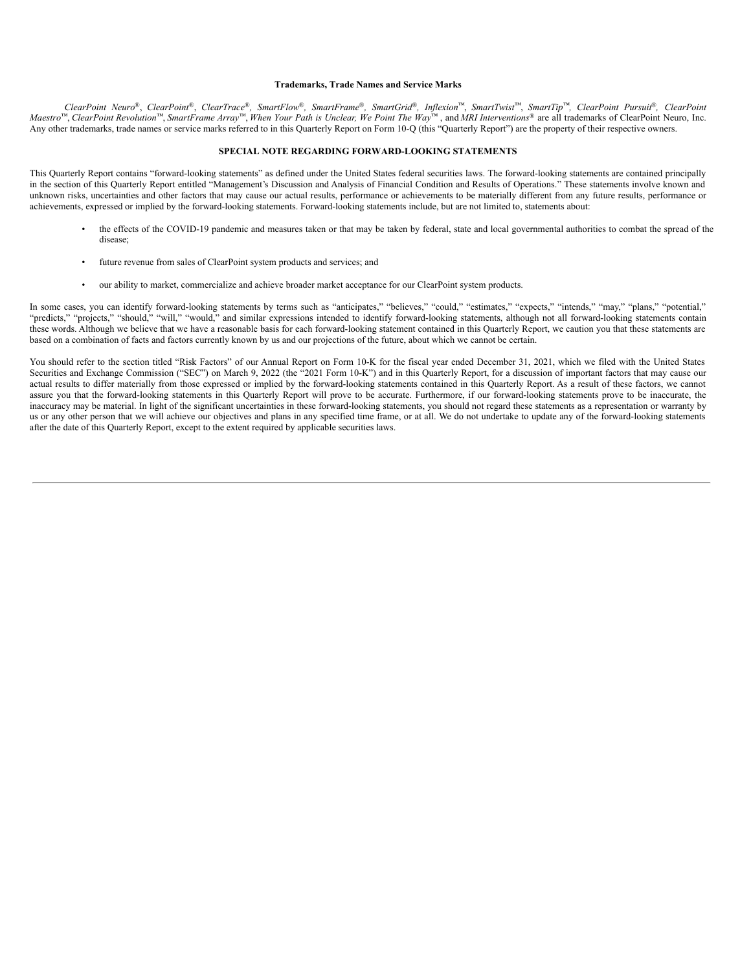### **Trademarks, Trade Names and Service Marks**

ClearPoint Neuro®, ClearPoint®, ClearTrace®, SmartFlow®, SmartFrame®, SmartGrid®, Inflexion™, SmartTwist™, SmartTip™, ClearPoint Pursuit®, ClearPoint  $M a e stro^{\text{TM}}$ , ClearPoint Revolution<sup>TM</sup>, SmartFrame Array<sup>TM</sup>, When Your Path is Unclear, We Point The Way<sup>TM</sup>, and MRI Interventions® are all trademarks of ClearPoint Neuro, Inc. Any other trademarks, trade names or service marks referred to in this Quarterly Report on Form 10-Q (this "Quarterly Report") are the property of their respective owners. *™ ™ ™ ™* ®

## **SPECIAL NOTE REGARDING FORWARD-LOOKING STATEMENTS**

This Quarterly Report contains "forward-looking statements" as defined under the United States federal securities laws. The forward-looking statements are contained principally in the section of this Quarterly Report entitled "Management's Discussion and Analysis of Financial Condition and Results of Operations." These statements involve known and unknown risks, uncertainties and other factors that may cause our actual results, performance or achievements to be materially different from any future results, performance or achievements, expressed or implied by the forward-looking statements. Forward-looking statements include, but are not limited to, statements about:

- the effects of the COVID-19 pandemic and measures taken or that may be taken by federal, state and local governmental authorities to combat the spread of the disease;
- future revenue from sales of ClearPoint system products and services; and
- our ability to market, commercialize and achieve broader market acceptance for our ClearPoint system products.

In some cases, you can identify forward-looking statements by terms such as "anticipates," "believes," "could," "estimates," "expects," "intends," "may," "plans," "potential," "predicts," "projects," "should," "will," "would," and similar expressions intended to identify forward-looking statements, although not all forward-looking statements contain these words. Although we believe that we have a reasonable basis for each forward-looking statement contained in this Quarterly Report, we caution you that these statements are based on a combination of facts and factors currently known by us and our projections of the future, about which we cannot be certain.

<span id="page-3-0"></span>You should refer to the section titled "Risk Factors" of our Annual Report on Form 10-K for the fiscal year ended December 31, 2021, which we filed with the United States Securities and Exchange Commission ("SEC") on March 9, 2022 (the "2021 Form 10-K") and in this Quarterly Report, for a discussion of important factors that may cause our actual results to differ materially from those expressed or implied by the forward-looking statements contained in this Quarterly Report. As a result of these factors, we cannot assure you that the forward-looking statements in this Quarterly Report will prove to be accurate. Furthermore, if our forward-looking statements prove to be inaccurate, the inaccuracy may be material. In light of the significant uncertainties in these forward-looking statements, you should not regard these statements as a representation or warranty by us or any other person that we will achieve our objectives and plans in any specified time frame, or at all. We do not undertake to update any of the forward-looking statements after the date of this Quarterly Report, except to the extent required by applicable securities laws.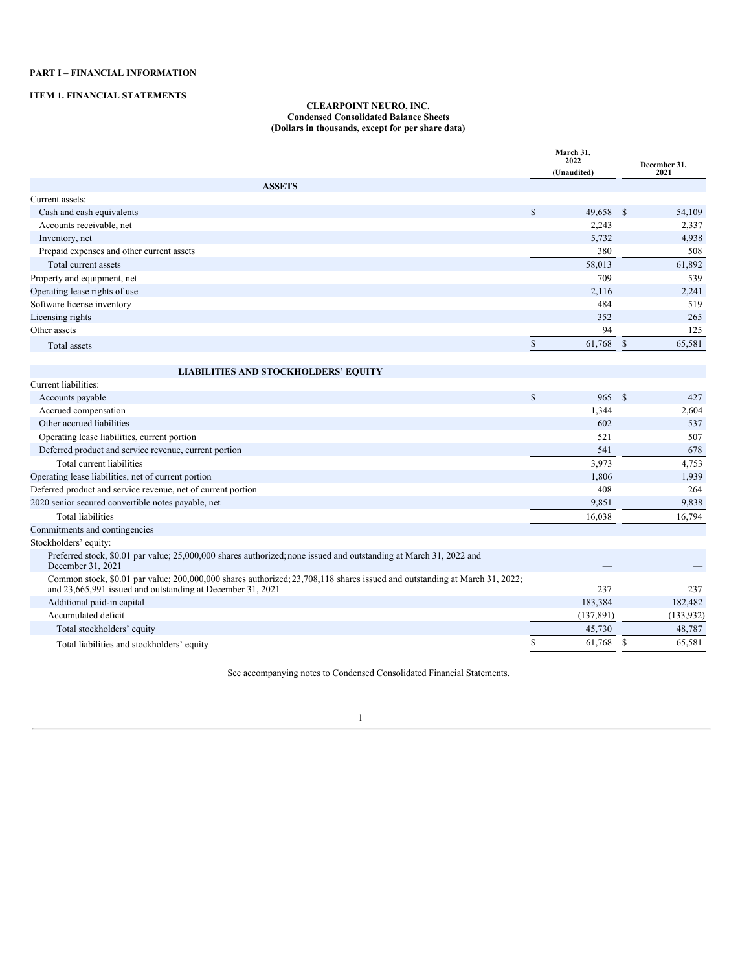# **PART I – FINANCIAL INFORMATION**

# <span id="page-4-1"></span><span id="page-4-0"></span>**ITEM 1. FINANCIAL STATEMENTS**

## **CLEARPOINT NEURO, INC. Condensed Consolidated Balance Sheets (Dollars in thousands, except for per share data)**

|                                                                                                                                                                                          |               | March 31,<br>2022<br>(Unaudited) |               | December 31,<br>2021 |
|------------------------------------------------------------------------------------------------------------------------------------------------------------------------------------------|---------------|----------------------------------|---------------|----------------------|
| <b>ASSETS</b>                                                                                                                                                                            |               |                                  |               |                      |
| Current assets:                                                                                                                                                                          |               |                                  |               |                      |
| Cash and cash equivalents                                                                                                                                                                | $\mathbf S$   | 49,658 \$                        |               | 54,109               |
| Accounts receivable, net                                                                                                                                                                 |               | 2,243                            |               | 2,337                |
| Inventory, net                                                                                                                                                                           |               | 5,732                            |               | 4,938                |
| Prepaid expenses and other current assets                                                                                                                                                |               | 380                              |               | 508                  |
| Total current assets                                                                                                                                                                     |               | 58,013                           |               | 61,892               |
| Property and equipment, net                                                                                                                                                              |               | 709                              |               | 539                  |
| Operating lease rights of use                                                                                                                                                            |               | 2,116                            |               | 2,241                |
| Software license inventory                                                                                                                                                               |               | 484                              |               | 519                  |
| Licensing rights                                                                                                                                                                         |               | 352                              |               | 265                  |
| Other assets                                                                                                                                                                             |               | 94                               |               | 125                  |
| Total assets                                                                                                                                                                             | \$            | 61,768                           | $\mathbb{S}$  | 65,581               |
| LIABILITIES AND STOCKHOLDERS' EQUITY                                                                                                                                                     |               |                                  |               |                      |
| Current liabilities:                                                                                                                                                                     |               |                                  |               |                      |
| Accounts payable                                                                                                                                                                         | $\mathsf{\$}$ | 965                              | <sup>S</sup>  | 427                  |
| Accrued compensation                                                                                                                                                                     |               | 1,344                            |               | 2,604                |
| Other accrued liabilities                                                                                                                                                                |               | 602                              |               | 537                  |
| Operating lease liabilities, current portion                                                                                                                                             |               | 521                              |               | 507                  |
| Deferred product and service revenue, current portion                                                                                                                                    |               | 541                              |               | 678                  |
| Total current liabilities                                                                                                                                                                |               | 3,973                            |               | 4,753                |
| Operating lease liabilities, net of current portion                                                                                                                                      |               | 1,806                            |               | 1,939                |
| Deferred product and service revenue, net of current portion                                                                                                                             |               | 408                              |               | 264                  |
| 2020 senior secured convertible notes payable, net                                                                                                                                       |               | 9,851                            |               | 9,838                |
| <b>Total liabilities</b>                                                                                                                                                                 |               | 16,038                           |               | 16,794               |
| Commitments and contingencies                                                                                                                                                            |               |                                  |               |                      |
| Stockholders' equity:                                                                                                                                                                    |               |                                  |               |                      |
| Preferred stock, \$0.01 par value; 25,000,000 shares authorized; none issued and outstanding at March 31, 2022 and<br>December 31, 2021                                                  |               |                                  |               |                      |
| Common stock, \$0.01 par value; 200,000,000 shares authorized; 23,708,118 shares issued and outstanding at March 31, 2022;<br>and 23,665,991 issued and outstanding at December 31, 2021 |               | 237                              |               | 237                  |
| Additional paid-in capital                                                                                                                                                               |               | 183,384                          |               | 182,482              |
| Accumulated deficit                                                                                                                                                                      |               | (137, 891)                       |               | (133, 932)           |
| Total stockholders' equity                                                                                                                                                               |               | 45,730                           |               | 48,787               |
| Total liabilities and stockholders' equity                                                                                                                                               | \$            | 61,768                           | <sup>\$</sup> | 65,581               |

<span id="page-4-2"></span>See accompanying notes to Condensed Consolidated Financial Statements.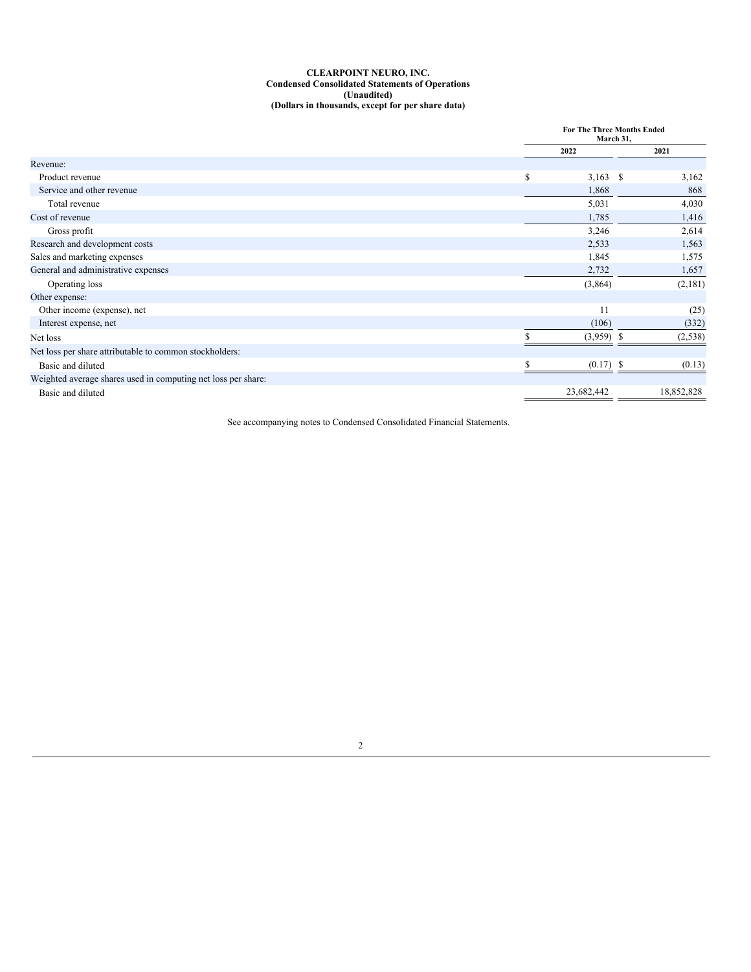## **CLEARPOINT NEURO, INC. Condensed Consolidated Statements of Operations (Unaudited) (Dollars in thousands, except for per share data)**

|                                                               | <b>For The Three Months Ended</b><br>March 31, |               |  |
|---------------------------------------------------------------|------------------------------------------------|---------------|--|
|                                                               | 2022                                           | 2021          |  |
| Revenue:                                                      |                                                |               |  |
| Product revenue                                               | \$<br>$3,163$ \$                               | 3,162         |  |
| Service and other revenue                                     | 1,868                                          | 868           |  |
| Total revenue                                                 | 5,031                                          | 4,030         |  |
| Cost of revenue                                               | 1,785                                          | 1,416         |  |
| Gross profit                                                  | 3,246                                          | 2,614         |  |
| Research and development costs                                | 2,533                                          | 1,563         |  |
| Sales and marketing expenses                                  | 1,845                                          | 1,575         |  |
| General and administrative expenses                           | 2,732                                          | 1,657         |  |
| Operating loss                                                | (3,864)                                        | (2,181)       |  |
| Other expense:                                                |                                                |               |  |
| Other income (expense), net                                   | 11                                             | (25)          |  |
| Interest expense, net                                         | (106)                                          | (332)         |  |
| Net loss                                                      | (3,959)                                        | (2, 538)<br>S |  |
| Net loss per share attributable to common stockholders:       |                                                |               |  |
| Basic and diluted                                             | $(0.17)$ \$                                    | (0.13)        |  |
| Weighted average shares used in computing net loss per share: |                                                |               |  |
| Basic and diluted                                             | 23,682,442                                     | 18,852,828    |  |

<span id="page-5-0"></span>See accompanying notes to Condensed Consolidated Financial Statements.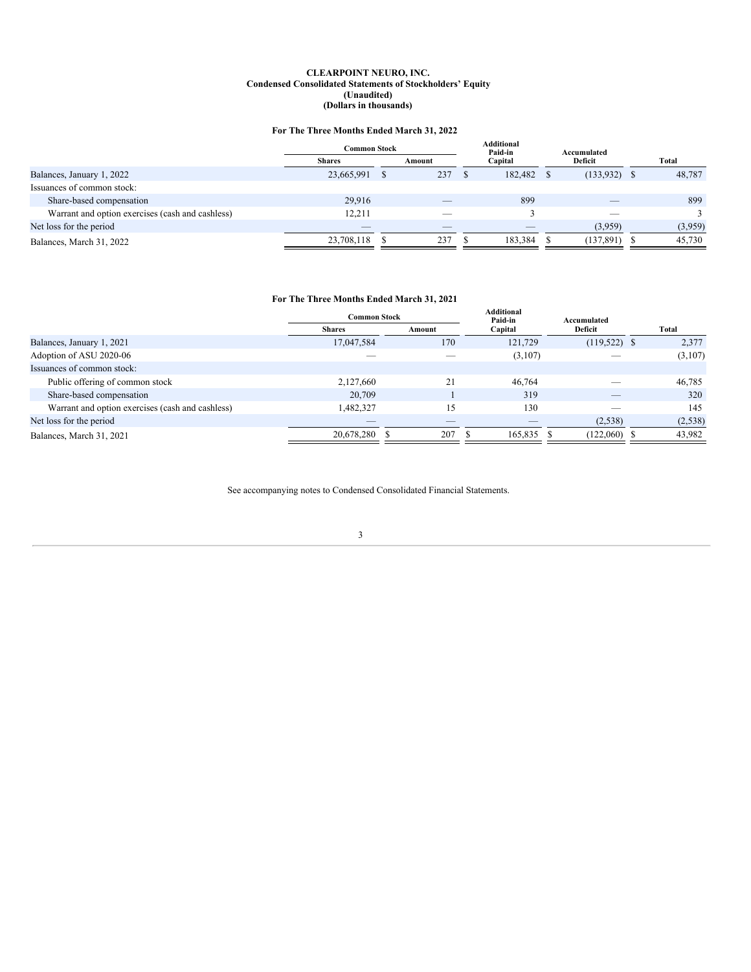# **CLEARPOINT NEURO, INC. Condensed Consolidated Statements of Stockholders' Equity (Unaudited) (Dollars in thousands)**

# **For The Three Months Ended March 31, 2022**

|                                                  | <b>Common Stock</b>      |  | <b>Additional</b><br>Paid-in |  | Accumulated |  |                          |         |
|--------------------------------------------------|--------------------------|--|------------------------------|--|-------------|--|--------------------------|---------|
|                                                  | <b>Shares</b>            |  | Amount                       |  | Capital     |  | Deficit                  | Total   |
| Balances, January 1, 2022                        | 23,665,991               |  | 237                          |  | 182,482     |  | $(133,932)$ \$           | 48,787  |
| Issuances of common stock:                       |                          |  |                              |  |             |  |                          |         |
| Share-based compensation                         | 29,916                   |  |                              |  | 899         |  | $\overline{\phantom{a}}$ | 899     |
| Warrant and option exercises (cash and cashless) | 12,211                   |  |                              |  |             |  |                          |         |
| Net loss for the period                          | $\overline{\phantom{a}}$ |  | _                            |  | _           |  | (3,959)                  | (3,959) |
| Balances, March 31, 2022                         | 23,708,118               |  | 237                          |  | 183,384     |  | (137, 891)               | 45,730  |

# **For The Three Months Ended March 31, 2021**

|                                                  | <b>Common Stock</b> |  | <b>Additional</b><br>Paid-in<br>Accumulated |            |                |         |
|--------------------------------------------------|---------------------|--|---------------------------------------------|------------|----------------|---------|
|                                                  | <b>Shares</b>       |  | Amount                                      | Capital    | Deficit        | Total   |
| Balances, January 1, 2021                        | 17,047,584          |  | 170                                         | 121,729    | $(119,522)$ \$ | 2,377   |
| Adoption of ASU 2020-06                          |                     |  |                                             | (3,107)    |                | (3,107) |
| Issuances of common stock:                       |                     |  |                                             |            |                |         |
| Public offering of common stock                  | 2,127,660           |  | 21                                          | 46,764     |                | 46,785  |
| Share-based compensation                         | 20,709              |  |                                             | 319        |                | 320     |
| Warrant and option exercises (cash and cashless) | 1,482,327           |  | 15                                          | 130        |                | 145     |
| Net loss for the period                          |                     |  |                                             |            | (2,538)        | (2,538) |
| Balances, March 31, 2021                         | 20,678,280          |  | 207                                         | 165,835 \$ | $(122,060)$ \$ | 43,982  |

<span id="page-6-0"></span>See accompanying notes to Condensed Consolidated Financial Statements.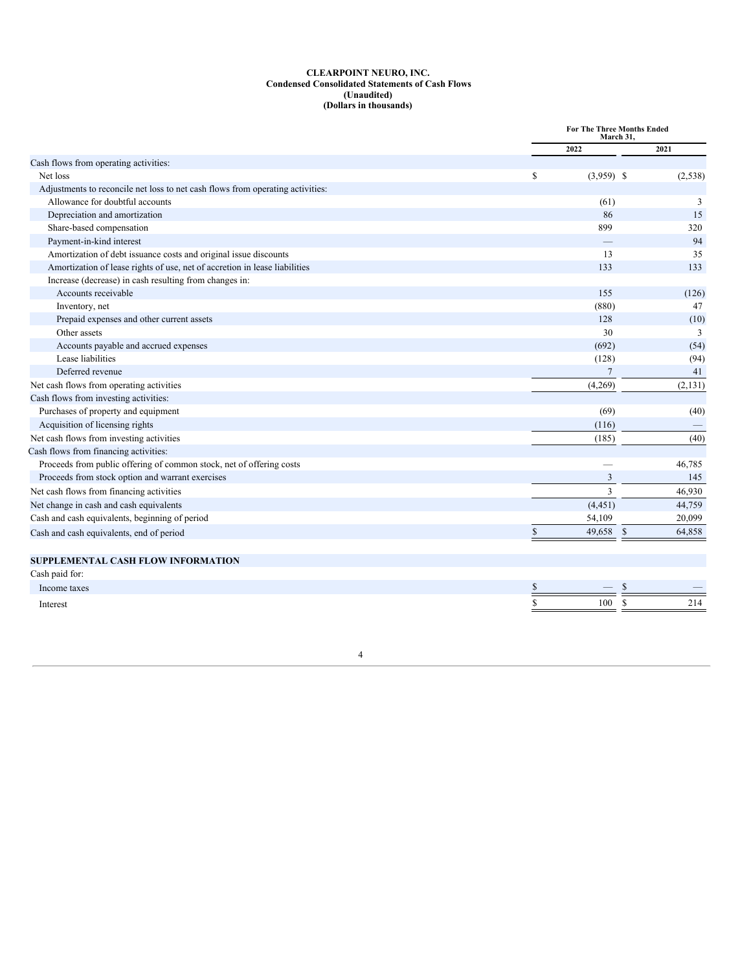## **CLEARPOINT NEURO, INC. Condensed Consolidated Statements of Cash Flows (Unaudited) (Dollars in thousands)**

|                                                                                |          | <b>For The Three Months Ended</b><br>March 31, |          |  |
|--------------------------------------------------------------------------------|----------|------------------------------------------------|----------|--|
|                                                                                | 2022     |                                                | 2021     |  |
| Cash flows from operating activities:                                          |          |                                                |          |  |
| Net loss                                                                       | \$       | $(3,959)$ \$                                   | (2, 538) |  |
| Adjustments to reconcile net loss to net cash flows from operating activities: |          |                                                |          |  |
| Allowance for doubtful accounts                                                |          | (61)                                           | 3        |  |
| Depreciation and amortization                                                  |          | 86                                             | 15       |  |
| Share-based compensation                                                       | 899      |                                                | 320      |  |
| Payment-in-kind interest                                                       |          |                                                | 94       |  |
| Amortization of debt issuance costs and original issue discounts               |          | 13                                             | 35       |  |
| Amortization of lease rights of use, net of accretion in lease liabilities     | 133      |                                                | 133      |  |
| Increase (decrease) in cash resulting from changes in:                         |          |                                                |          |  |
| Accounts receivable                                                            | 155      |                                                | (126)    |  |
| Inventory, net                                                                 | (880)    |                                                | 47       |  |
| Prepaid expenses and other current assets                                      |          | 128                                            | (10)     |  |
| Other assets                                                                   |          | 30                                             | 3        |  |
| Accounts payable and accrued expenses                                          | (692)    |                                                | (54)     |  |
| Lease liabilities                                                              | (128)    |                                                | (94)     |  |
| Deferred revenue                                                               |          | $\tau$                                         | 41       |  |
| Net cash flows from operating activities                                       | (4,269)  |                                                | (2, 131) |  |
| Cash flows from investing activities:                                          |          |                                                |          |  |
| Purchases of property and equipment                                            |          | (69)                                           | (40)     |  |
| Acquisition of licensing rights                                                | (116)    |                                                |          |  |
| Net cash flows from investing activities                                       | (185)    |                                                | (40)     |  |
| Cash flows from financing activities:                                          |          |                                                |          |  |
| Proceeds from public offering of common stock, net of offering costs           |          |                                                | 46,785   |  |
| Proceeds from stock option and warrant exercises                               |          | 3                                              | 145      |  |
| Net cash flows from financing activities                                       |          | 3                                              | 46,930   |  |
| Net change in cash and cash equivalents                                        | (4, 451) |                                                | 44,759   |  |
| Cash and cash equivalents, beginning of period                                 | 54,109   |                                                | 20,099   |  |
| Cash and cash equivalents, end of period                                       | S        | 49,658 \$                                      | 64,858   |  |
| <b>SUPPLEMENTAL CASH FLOW INFORMATION</b>                                      |          |                                                |          |  |

| Cash paid for: |                                 |                                 |
|----------------|---------------------------------|---------------------------------|
| Income taxes   | $\hspace{0.1mm}-\hspace{0.1mm}$ | $\hspace{0.1mm}-\hspace{0.1mm}$ |
| Interest       | 100                             | 214                             |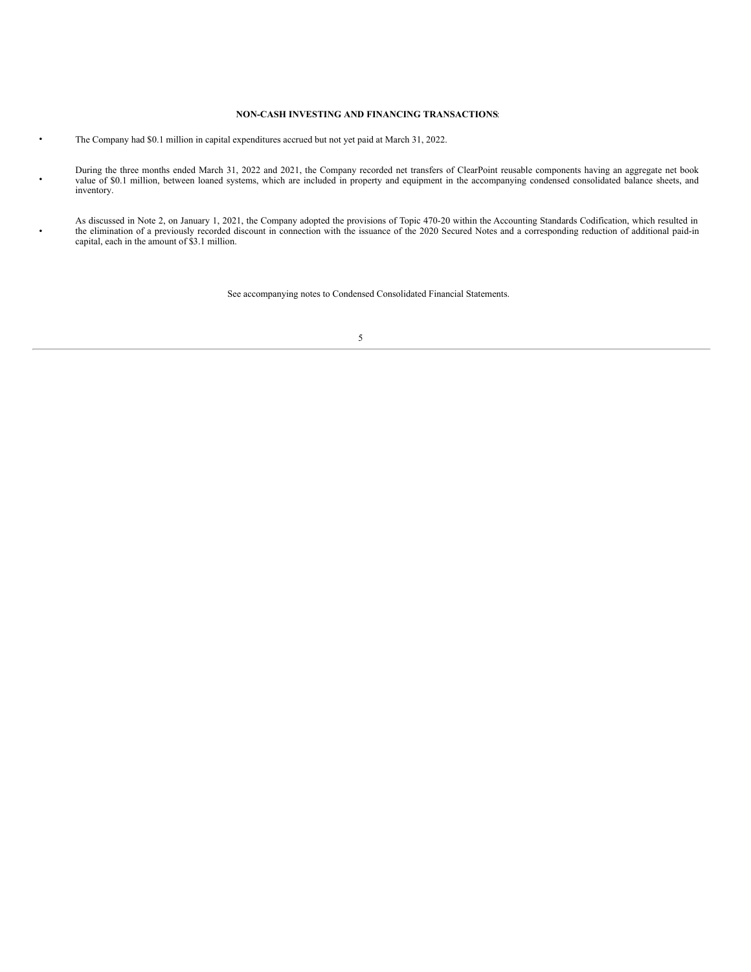# **NON-CASH INVESTING AND FINANCING TRANSACTIONS**:

- The Company had \$0.1 million in capital expenditures accrued but not yet paid at March 31, 2022.
- During the three months ended March 31, 2022 and 2021, the Company recorded net transfers of ClearPoint reusable components having an aggregate net book value of \$0.1 million, between loaned systems, which are included in property and equipment in the accompanying condensed consolidated balance sheets, and inventory.
- <span id="page-8-0"></span>• As discussed in Note 2, on January 1, 2021, the Company adopted the provisions of Topic 470-20 within the Accounting Standards Codification, which resulted in the elimination of a previously recorded discount in connection with the issuance of the 2020 Secured Notes and a corresponding reduction of additional paid-in capital, each in the amount of \$3.1 million.

See accompanying notes to Condensed Consolidated Financial Statements.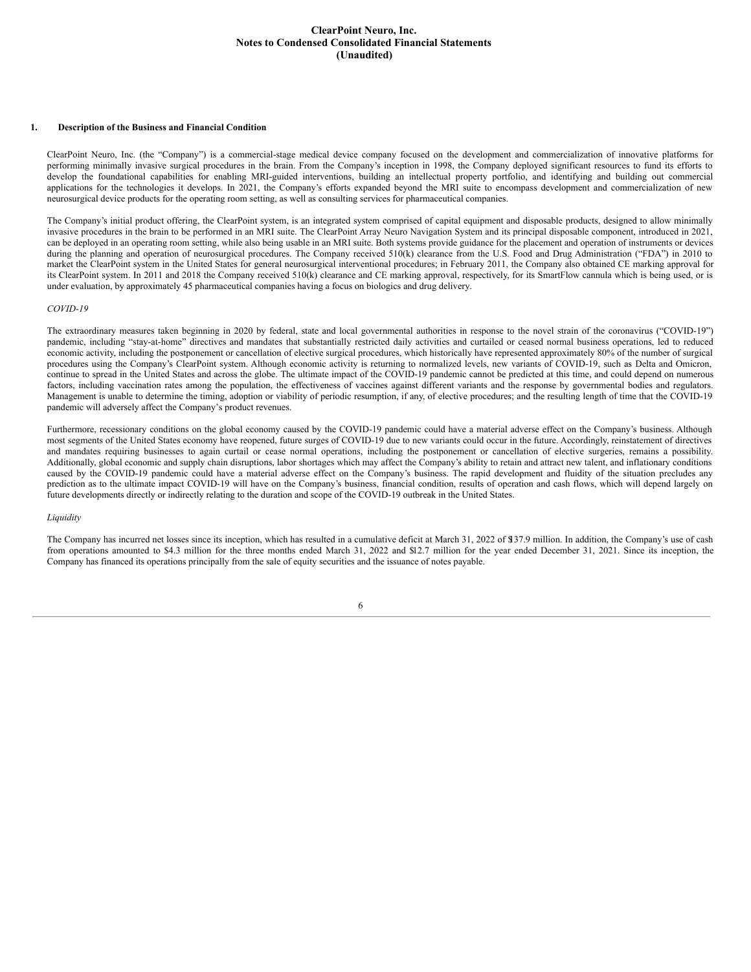## **1. Description of the Business and Financial Condition**

ClearPoint Neuro, Inc. (the "Company") is a commercial-stage medical device company focused on the development and commercialization of innovative platforms for performing minimally invasive surgical procedures in the brain. From the Company's inception in 1998, the Company deployed significant resources to fund its efforts to develop the foundational capabilities for enabling MRI-guided interventions, building an intellectual property portfolio, and identifying and building out commercial applications for the technologies it develops. In 2021, the Company's efforts expanded beyond the MRI suite to encompass development and commercialization of new neurosurgical device products for the operating room setting, as well as consulting services for pharmaceutical companies.

The Company's initial product offering, the ClearPoint system, is an integrated system comprised of capital equipment and disposable products, designed to allow minimally invasive procedures in the brain to be performed in an MRI suite. The ClearPoint Array Neuro Navigation System and its principal disposable component, introduced in 2021, can be deployed in an operating room setting, while also being usable in an MRI suite. Both systems provide guidance for the placement and operation of instruments or devices during the planning and operation of neurosurgical procedures. The Company received 510(k) clearance from the U.S. Food and Drug Administration ("FDA") in 2010 to market the ClearPoint system in the United States for general neurosurgical interventional procedures; in February 2011, the Company also obtained CE marking approval for its ClearPoint system. In 2011 and 2018 the Company received 510(k) clearance and CE marking approval, respectively, for its SmartFlow cannula which is being used, or is under evaluation, by approximately 45 pharmaceutical companies having a focus on biologics and drug delivery.

### *COVID-19*

The extraordinary measures taken beginning in 2020 by federal, state and local governmental authorities in response to the novel strain of the coronavirus ("COVID-19") pandemic, including "stay-at-home" directives and mandates that substantially restricted daily activities and curtailed or ceased normal business operations, led to reduced economic activity, including the postponement or cancellation of elective surgical procedures, which historically have represented approximately 80% of the number of surgical procedures using the Company's ClearPoint system. Although economic activity is returning to normalized levels, new variants of COVID-19, such as Delta and Omicron, continue to spread in the United States and across the globe. The ultimate impact of the COVID-19 pandemic cannot be predicted at this time, and could depend on numerous factors, including vaccination rates among the population, the effectiveness of vaccines against different variants and the response by governmental bodies and regulators. Management is unable to determine the timing, adoption or viability of periodic resumption, if any, of elective procedures; and the resulting length of time that the COVID-19 pandemic will adversely affect the Company's product revenues.

Furthermore, recessionary conditions on the global economy caused by the COVID-19 pandemic could have a material adverse effect on the Company's business. Although most segments of the United States economy have reopened, future surges of COVID-19 due to new variants could occur in the future. Accordingly, reinstatement of directives and mandates requiring businesses to again curtail or cease normal operations, including the postponement or cancellation of elective surgeries, remains a possibility. Additionally, global economic and supply chain disruptions, labor shortages which may affect the Company's ability to retain and attract new talent, and inflationary conditions caused by the COVID-19 pandemic could have a material adverse effect on the Company's business. The rapid development and fluidity of the situation precludes any prediction as to the ultimate impact COVID-19 will have on the Company's business, financial condition, results of operation and cash flows, which will depend largely on future developments directly or indirectly relating to the duration and scope of the COVID-19 outbreak in the United States.

#### *Liquidity*

The Company has incurred net losses since its inception, which has resulted in a cumulative deficit at March 31, 2022 of \$37.9 million. In addition, the Company's use of cash from operations amounted to \$4.3 million for the three months ended March 31, 2022 and \$12.7 million for the year ended December 31, 2021. Since its inception, the Company has financed its operations principally from the sale of equity securities and the issuance of notes payable.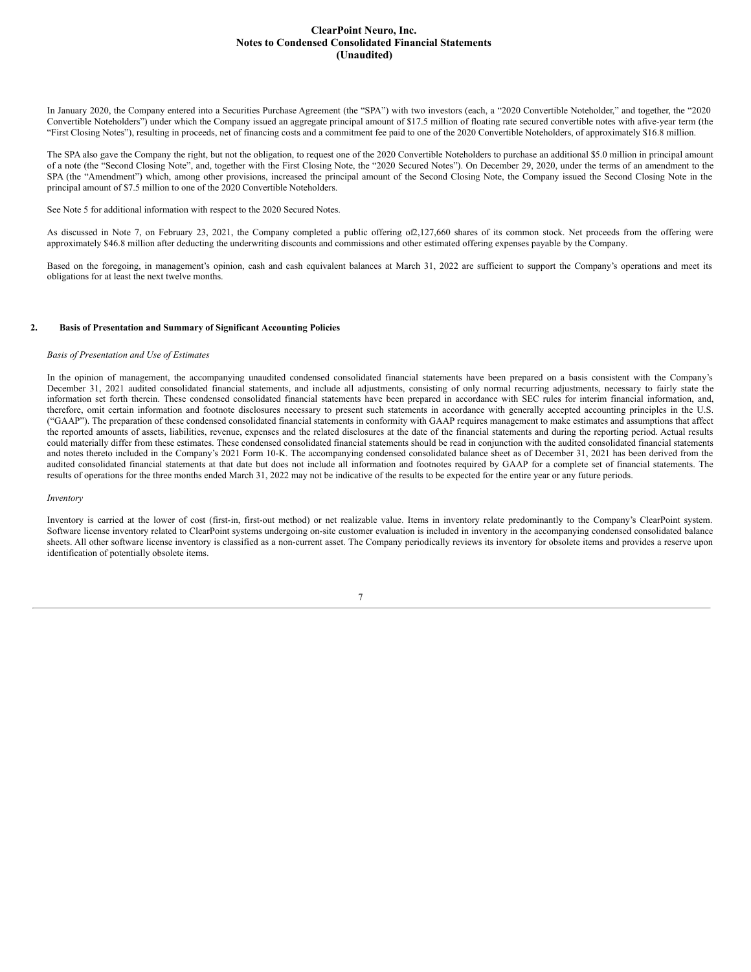In January 2020, the Company entered into a Securities Purchase Agreement (the "SPA") with two investors (each, a "2020 Convertible Noteholder," and together, the "2020 Convertible Noteholders") under which the Company issued an aggregate principal amount of \$17.5 million of floating rate secured convertible notes with afive-year term (the "First Closing Notes"), resulting in proceeds, net of financing costs and a commitment fee paid to one of the 2020 Convertible Noteholders, of approximately \$16.8 million.

The SPA also gave the Company the right, but not the obligation, to request one of the 2020 Convertible Noteholders to purchase an additional \$5.0 million in principal amount of a note (the "Second Closing Note", and, together with the First Closing Note, the "2020 Secured Notes"). On December 29, 2020, under the terms of an amendment to the SPA (the "Amendment") which, among other provisions, increased the principal amount of the Second Closing Note, the Company issued the Second Closing Note in the principal amount of \$7.5 million to one of the 2020 Convertible Noteholders.

See Note 5 for additional information with respect to the 2020 Secured Notes.

As discussed in Note 7, on February 23, 2021, the Company completed a public offering of2,127,660 shares of its common stock. Net proceeds from the offering were approximately \$46.8 million after deducting the underwriting discounts and commissions and other estimated offering expenses payable by the Company.

Based on the foregoing, in management's opinion, cash and cash equivalent balances at March 31, 2022 are sufficient to support the Company's operations and meet its obligations for at least the next twelve months.

#### **2. Basis of Presentation and Summary of Significant Accounting Policies**

#### *Basis of Presentation and Use of Estimates*

In the opinion of management, the accompanying unaudited condensed consolidated financial statements have been prepared on a basis consistent with the Company's December 31, 2021 audited consolidated financial statements, and include all adjustments, consisting of only normal recurring adjustments, necessary to fairly state the information set forth therein. These condensed consolidated financial statements have been prepared in accordance with SEC rules for interim financial information, and, therefore, omit certain information and footnote disclosures necessary to present such statements in accordance with generally accepted accounting principles in the U.S. ("GAAP"). The preparation of these condensed consolidated financial statements in conformity with GAAP requires management to make estimates and assumptions that affect the reported amounts of assets, liabilities, revenue, expenses and the related disclosures at the date of the financial statements and during the reporting period. Actual results could materially differ from these estimates. These condensed consolidated financial statements should be read in conjunction with the audited consolidated financial statements and notes thereto included in the Company's 2021 Form 10-K. The accompanying condensed consolidated balance sheet as of December 31, 2021 has been derived from the audited consolidated financial statements at that date but does not include all information and footnotes required by GAAP for a complete set of financial statements. The results of operations for the three months ended March 31, 2022 may not be indicative of the results to be expected for the entire year or any future periods.

#### *Inventory*

Inventory is carried at the lower of cost (first-in, first-out method) or net realizable value. Items in inventory relate predominantly to the Company's ClearPoint system. Software license inventory related to ClearPoint systems undergoing on-site customer evaluation is included in inventory in the accompanying condensed consolidated balance sheets. All other software license inventory is classified as a non-current asset. The Company periodically reviews its inventory for obsolete items and provides a reserve upon identification of potentially obsolete items.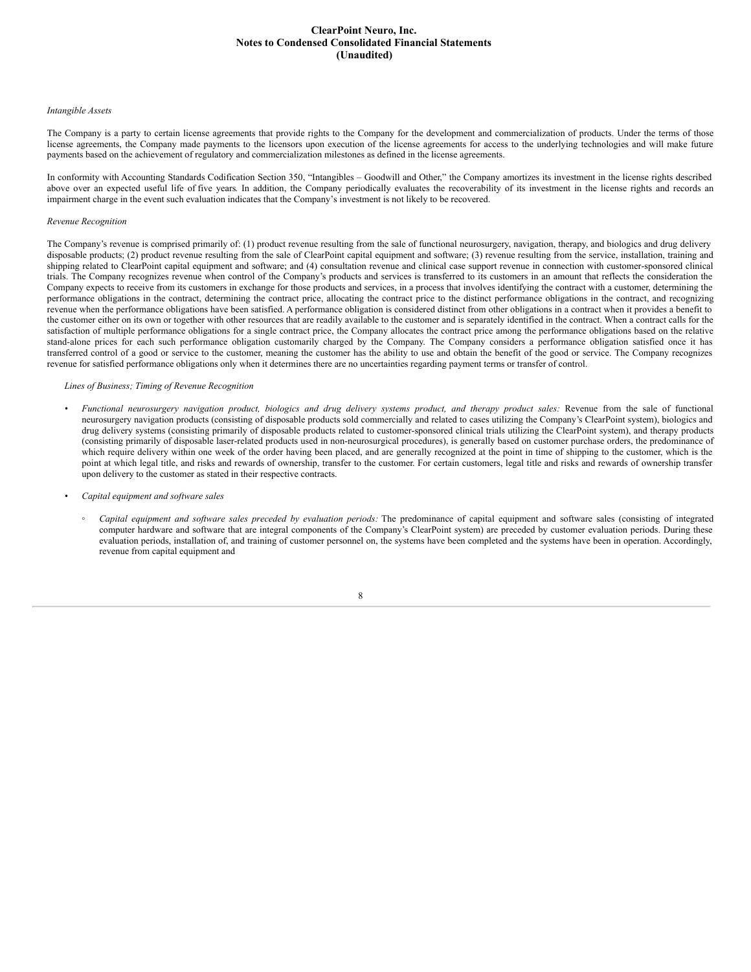#### *Intangible Assets*

The Company is a party to certain license agreements that provide rights to the Company for the development and commercialization of products. Under the terms of those license agreements, the Company made payments to the licensors upon execution of the license agreements for access to the underlying technologies and will make future payments based on the achievement of regulatory and commercialization milestones as defined in the license agreements.

In conformity with Accounting Standards Codification Section 350, "Intangibles – Goodwill and Other," the Company amortizes its investment in the license rights described above over an expected useful life of five years. In addition, the Company periodically evaluates the recoverability of its investment in the license rights and records an impairment charge in the event such evaluation indicates that the Company's investment is not likely to be recovered.

#### *Revenue Recognition*

The Company's revenue is comprised primarily of: (1) product revenue resulting from the sale of functional neurosurgery, navigation, therapy, and biologics and drug delivery disposable products; (2) product revenue resulting from the sale of ClearPoint capital equipment and software; (3) revenue resulting from the service, installation, training and shipping related to ClearPoint capital equipment and software; and (4) consultation revenue and clinical case support revenue in connection with customer-sponsored clinical trials. The Company recognizes revenue when control of the Company's products and services is transferred to its customers in an amount that reflects the consideration the Company expects to receive from its customers in exchange for those products and services, in a process that involves identifying the contract with a customer, determining the performance obligations in the contract, determining the contract price, allocating the contract price to the distinct performance obligations in the contract, and recognizing revenue when the performance obligations have been satisfied. A performance obligation is considered distinct from other obligations in a contract when it provides a benefit to the customer either on its own or together with other resources that are readily available to the customer and is separately identified in the contract. When a contract calls for the satisfaction of multiple performance obligations for a single contract price, the Company allocates the contract price among the performance obligations based on the relative stand-alone prices for each such performance obligation customarily charged by the Company. The Company considers a performance obligation satisfied once it has transferred control of a good or service to the customer, meaning the customer has the ability to use and obtain the benefit of the good or service. The Company recognizes revenue for satisfied performance obligations only when it determines there are no uncertainties regarding payment terms or transfer of control.

#### *Lines of Business; Timing of Revenue Recognition*

- Functional neurosurgery navigation product, biologics and drug delivery systems product, and therapy product sales: Revenue from the sale of functional neurosurgery navigation products (consisting of disposable products sold commercially and related to cases utilizing the Company's ClearPoint system), biologics and drug delivery systems (consisting primarily of disposable products related to customer-sponsored clinical trials utilizing the ClearPoint system), and therapy products (consisting primarily of disposable laser-related products used in non-neurosurgical procedures), is generally based on customer purchase orders, the predominance of which require delivery within one week of the order having been placed, and are generally recognized at the point in time of shipping to the customer, which is the point at which legal title, and risks and rewards of ownership, transfer to the customer. For certain customers, legal title and risks and rewards of ownership transfer upon delivery to the customer as stated in their respective contracts.
- *• Capital equipment and software sales*
	- *Capital equipment and software sales preceded by evaluation periods:* The predominance of capital equipment and software sales (consisting of integrated computer hardware and software that are integral components of the Company's ClearPoint system) are preceded by customer evaluation periods. During these evaluation periods, installation of, and training of customer personnel on, the systems have been completed and the systems have been in operation. Accordingly, revenue from capital equipment and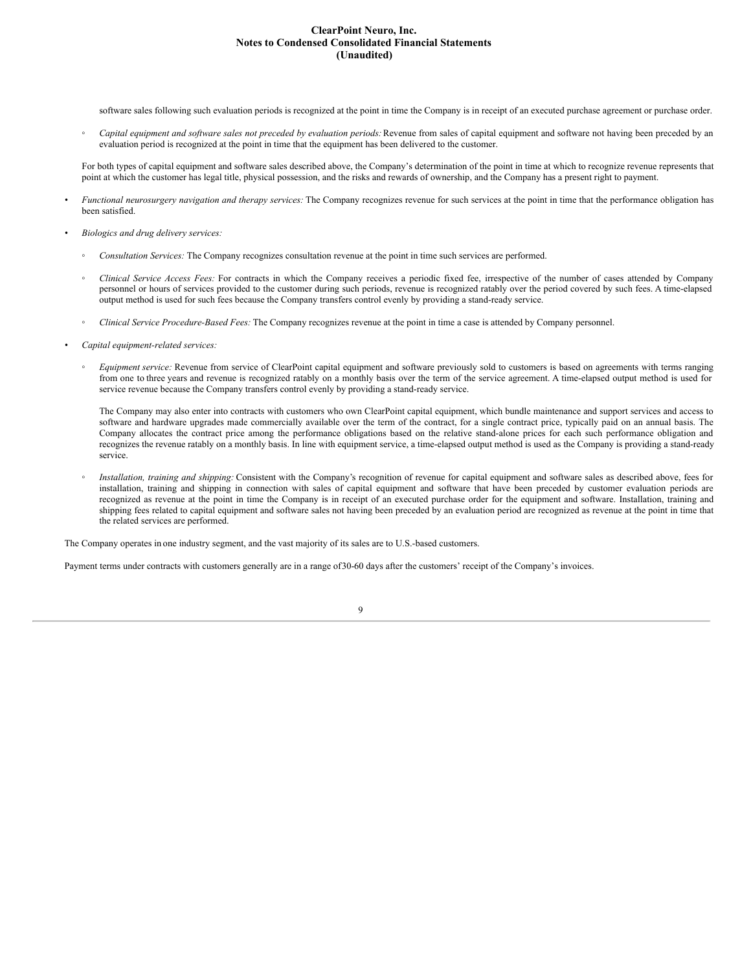software sales following such evaluation periods is recognized at the point in time the Company is in receipt of an executed purchase agreement or purchase order.

Capital equipment and software sales not preceded by evaluation periods: Revenue from sales of capital equipment and software not having been preceded by an evaluation period is recognized at the point in time that the equipment has been delivered to the customer.

For both types of capital equipment and software sales described above, the Company's determination of the point in time at which to recognize revenue represents that point at which the customer has legal title, physical possession, and the risks and rewards of ownership, and the Company has a present right to payment.

- *• Functional neurosurgery navigation and therapy services:* The Company recognizes revenue for such services at the point in time that the performance obligation has been satisfied.
- *• Biologics and drug delivery services:*
	- *Consultation Services:* The Company recognizes consultation revenue at the point in time such services are performed.
	- *Clinical Service Access Fees:* For contracts in which the Company receives a periodic fixed fee, irrespective of the number of cases attended by Company personnel or hours of services provided to the customer during such periods, revenue is recognized ratably over the period covered by such fees. A time-elapsed output method is used for such fees because the Company transfers control evenly by providing a stand-ready service.
	- *Clinical Service Procedure-Based Fees:* The Company recognizes revenue at the point in time a case is attended by Company personnel.
- *• Capital equipment-related services:*
	- *Equipment service:* Revenue from service of ClearPoint capital equipment and software previously sold to customers is based on agreements with terms ranging from one to three years and revenue is recognized ratably on a monthly basis over the term of the service agreement. A time-elapsed output method is used for service revenue because the Company transfers control evenly by providing a stand-ready service.

The Company may also enter into contracts with customers who own ClearPoint capital equipment, which bundle maintenance and support services and access to software and hardware upgrades made commercially available over the term of the contract, for a single contract price, typically paid on an annual basis. The Company allocates the contract price among the performance obligations based on the relative stand-alone prices for each such performance obligation and recognizes the revenue ratably on a monthly basis. In line with equipment service, a time-elapsed output method is used as the Company is providing a stand-ready service.

◦ *Installation, training and shipping:* Consistent with the Company's recognition of revenue for capital equipment and software sales as described above, fees for installation, training and shipping in connection with sales of capital equipment and software that have been preceded by customer evaluation periods are recognized as revenue at the point in time the Company is in receipt of an executed purchase order for the equipment and software. Installation, training and shipping fees related to capital equipment and software sales not having been preceded by an evaluation period are recognized as revenue at the point in time that the related services are performed.

The Company operates in one industry segment, and the vast majority of its sales are to U.S.-based customers.

Payment terms under contracts with customers generally are in a range of30-60 days after the customers' receipt of the Company's invoices.

 $\overline{Q}$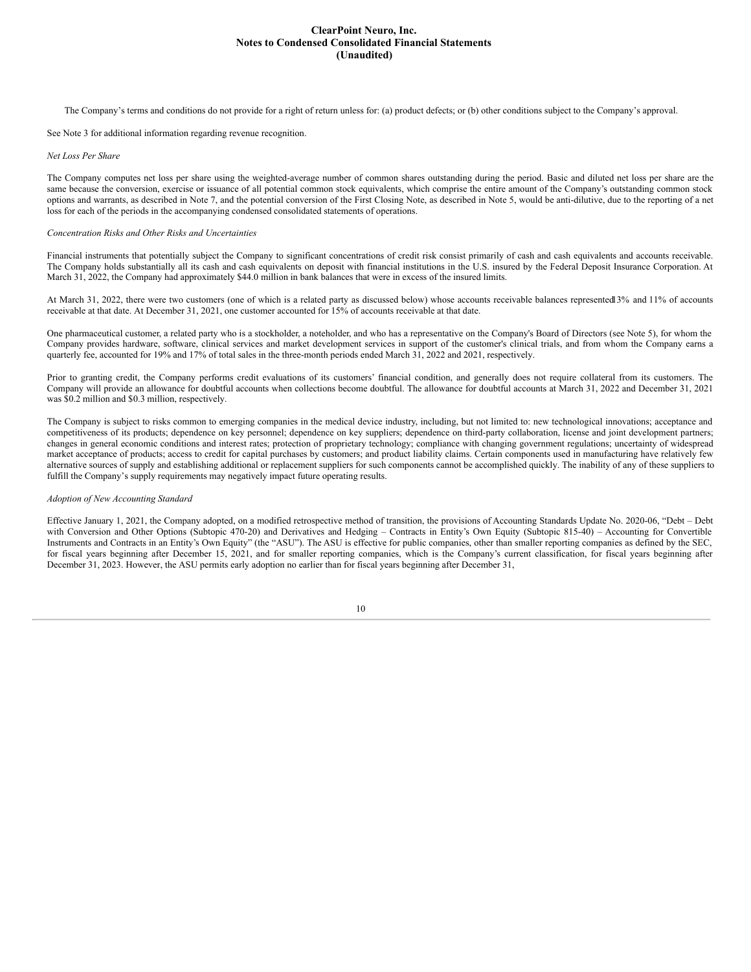The Company's terms and conditions do not provide for a right of return unless for: (a) product defects; or (b) other conditions subject to the Company's approval.

See Note 3 for additional information regarding revenue recognition.

#### *Net Loss Per Share*

The Company computes net loss per share using the weighted-average number of common shares outstanding during the period. Basic and diluted net loss per share are the same because the conversion, exercise or issuance of all potential common stock equivalents, which comprise the entire amount of the Company's outstanding common stock options and warrants, as described in Note 7, and the potential conversion of the First Closing Note, as described in Note 5, would be anti-dilutive, due to the reporting of a net loss for each of the periods in the accompanying condensed consolidated statements of operations.

#### *Concentration Risks and Other Risks and Uncertainties*

Financial instruments that potentially subject the Company to significant concentrations of credit risk consist primarily of cash and cash equivalents and accounts receivable. The Company holds substantially all its cash and cash equivalents on deposit with financial institutions in the U.S. insured by the Federal Deposit Insurance Corporation. At March 31, 2022, the Company had approximately \$44.0 million in bank balances that were in excess of the insured limits.

At March 31, 2022, there were two customers (one of which is a related party as discussed below) whose accounts receivable balances represented13% and 11% of accounts receivable at that date. At December 31, 2021, one customer accounted for 15% of accounts receivable at that date.

One pharmaceutical customer, a related party who is a stockholder, anoteholder, and who has a representative on the Company's Board of Directors (see Note 5), for whom the Company provides hardware, software, clinical services and market development services in support of the customer's clinical trials, and from whom the Company earns a quarterly fee, accounted for 19% and 17% of total sales in the three-month periods ended March 31, 2022 and 2021, respectively.

Prior to granting credit, the Company performs credit evaluations of its customers' financial condition, and generally does not require collateral from its customers. The Company will provide an allowance for doubtful accounts when collections become doubtful. The allowance for doubtful accounts at March 31, 2022 and December 31, 2021 was \$0.2 million and \$0.3 million, respectively.

The Company is subject to risks common to emerging companies in the medical device industry, including, but not limited to: new technological innovations; acceptance and competitiveness of its products; dependence on key personnel; dependence on key suppliers; dependence on third-party collaboration, license and joint development partners; changes in general economic conditions and interest rates; protection of proprietary technology; compliance with changing government regulations; uncertainty of widespread market acceptance of products; access to credit for capital purchases by customers; and product liability claims. Certain components used in manufacturing have relatively few alternative sources of supply and establishing additional or replacement suppliers for such components cannot be accomplished quickly. The inability of any of these suppliers to fulfill the Company's supply requirements may negatively impact future operating results.

## *Adoption of New Accounting Standard*

Effective January 1, 2021, the Company adopted, on a modified retrospective method of transition, the provisions of Accounting Standards Update No. 2020-06, "Debt – Debt with Conversion and Other Options (Subtopic 470-20) and Derivatives and Hedging – Contracts in Entity's Own Equity (Subtopic 815-40) – Accounting for Convertible Instruments and Contracts in an Entity's Own Equity" (the "ASU"). The ASU is effective for public companies, other than smaller reporting companies as defined by the SEC, for fiscal years beginning after December 15, 2021, and for smaller reporting companies, which is the Company's current classification, for fiscal years beginning after December 31, 2023. However, the ASU permits early adoption no earlier than for fiscal years beginning after December 31,

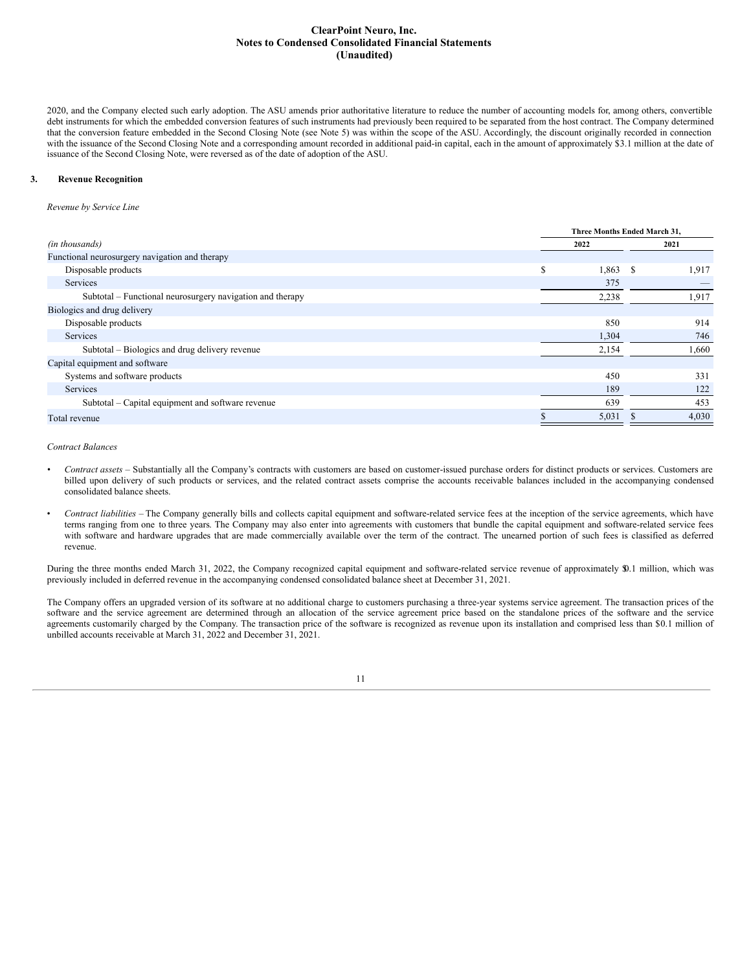2020, and the Company elected such early adoption. The ASU amends prior authoritative literature to reduce the number of accounting models for, among others, convertible debt instruments for which the embedded conversion features of such instruments had previously been required to be separated from the host contract. The Company determined that the conversion feature embedded in the Second Closing Note (see Note 5) was within the scope of the ASU. Accordingly, the discount originally recorded in connection with the issuance of the Second Closing Note and a corresponding amount recorded in additional paid-in capital, each in the amount of approximately \$3.1 million at the date of issuance of the Second Closing Note, were reversed as of the date of adoption of the ASU.

#### **3. Revenue Recognition**

#### *Revenue by Service Line*

|                                                           | Three Months Ended March 31, |       |    |       |
|-----------------------------------------------------------|------------------------------|-------|----|-------|
| (in thousands)                                            |                              | 2022  |    | 2021  |
| Functional neurosurgery navigation and therapy            |                              |       |    |       |
| Disposable products                                       | \$                           | 1,863 | -8 | 1,917 |
| Services                                                  |                              | 375   |    |       |
| Subtotal – Functional neurosurgery navigation and therapy |                              | 2,238 |    | 1,917 |
| Biologics and drug delivery                               |                              |       |    |       |
| Disposable products                                       |                              | 850   |    | 914   |
| Services                                                  |                              | 1,304 |    | 746   |
| Subtotal – Biologics and drug delivery revenue            |                              | 2,154 |    | 1,660 |
| Capital equipment and software                            |                              |       |    |       |
| Systems and software products                             |                              | 450   |    | 331   |
| Services                                                  |                              | 189   |    | 122   |
| Subtotal – Capital equipment and software revenue         |                              | 639   |    | 453   |
| Total revenue                                             |                              | 5,031 |    | 4,030 |

### *Contract Balances*

- *• Contract assets* Substantially all the Company's contracts with customers are based on customer-issued purchase orders for distinct products or services. Customers are billed upon delivery of such products or services, and the related contract assets comprise the accounts receivable balances included in the accompanying condensed consolidated balance sheets.
- *Contract liabilities –* The Company generally bills and collects capital equipment and software-related service fees at the inception of the service agreements, which have terms ranging from one to three years. The Company may also enter into agreements with customers that bundle the capital equipment and software-related service fees with software and hardware upgrades that are made commercially available over the term of the contract. The unearned portion of such fees is classified as deferred revenue.

During the three months ended March 31, 2022, the Company recognized capital equipment and software-related service revenue of approximately \$0.1 million, which was previously included in deferred revenue in the accompanying condensed consolidated balance sheet at December 31, 2021.

The Company offers an upgraded version of its software at no additional charge to customers purchasing a three-year systems service agreement. The transaction prices of the software and the service agreement are determined through an allocation of the service agreement price based on the standalone prices of the software and the service agreements customarily charged by the Company. The transaction price of the software is recognized as revenue upon its installation and comprised less than \$0.1 million of unbilled accounts receivable at March 31, 2022 and December 31, 2021.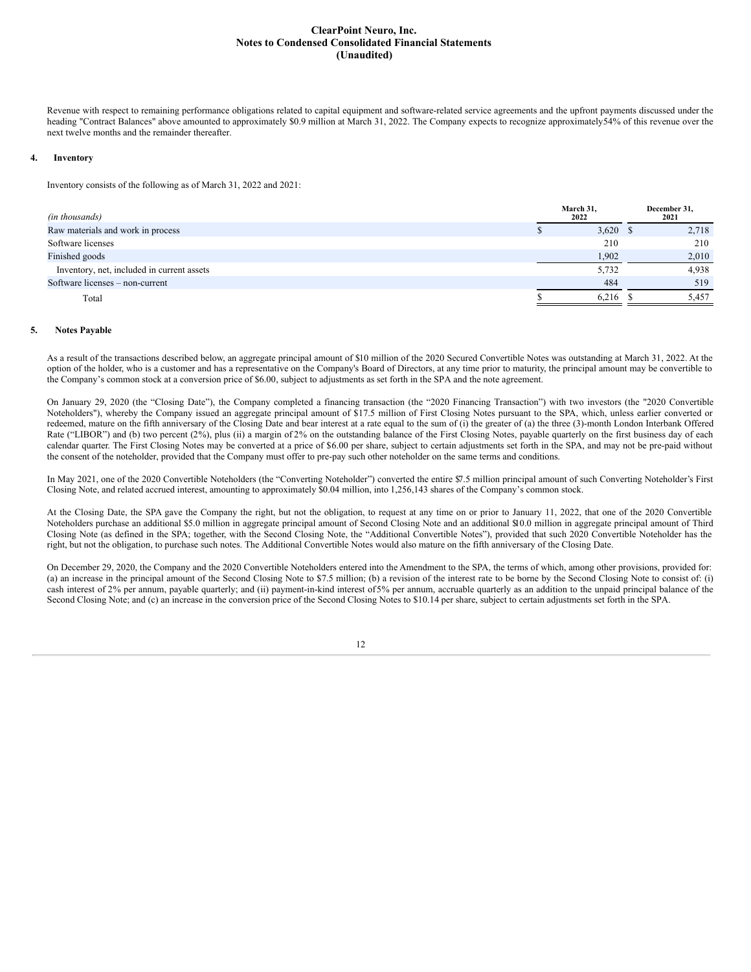Revenue with respect to remaining performance obligations related to capital equipment and software-related service agreements and the upfront payments discussed under the heading "Contract Balances" above amounted to approximately \$0.9 million at March 31, 2022. The Company expects to recognize approximately 54% of this revenue over the next twelve months and the remainder thereafter.

#### **4. Inventory**

Inventory consists of the following as of March 31, 2022 and 2021:

| (in thousands)                             | March 31,<br>2022 | December 31,<br>2021 |
|--------------------------------------------|-------------------|----------------------|
| Raw materials and work in process          | $3,620$ \$        | 2,718                |
| Software licenses                          | 210               | 210                  |
| Finished goods                             | 1.902             | 2,010                |
| Inventory, net, included in current assets | 5,732             | 4,938                |
| Software licenses – non-current            | 484               | 519                  |
| Total                                      | $6,216$ \$        | 5,457                |

## **5. Notes Payable**

As a result of the transactions described below, an aggregate principal amount of \$10 million of the 2020 Secured Convertible Notes was outstanding at March 31, 2022. At the option of the holder, who is a customer and has a representative on the Company's Board of Directors, at any time prior to maturity, the principal amount may be convertible to the Company's common stock at a conversion price of \$6.00, subject to adjustments as set forth in the SPA and the note agreement.

On January 29, 2020 (the "Closing Date"), the Company completed a financing transaction (the "2020 Financing Transaction") with two investors (the "2020 Convertible Noteholders"), whereby the Company issued an aggregate principal amount of \$17.5 million of First Closing Notes pursuant to the SPA, which, unless earlier converted or redeemed, mature on the fifth anniversary of the Closing Date and bear interest at a rate equal to the sum of (i) the greater of (a) the three (3)-month London Interbank Offered Rate ("LIBOR") and (b) two percent (2%), plus (ii) a margin of 2% on the outstanding balance of the First Closing Notes, payable quarterly on the first business day of each calendar quarter. The First Closing Notes may be converted at a price of \$6.00 per share, subject to certain adjustments set forth in the SPA, and may not be pre-paid without the consent of the noteholder, provided that the Company must offer to pre-pay such other noteholder on the same terms and conditions.

In May 2021, one of the 2020 Convertible Noteholders (the "Converting Noteholder") converted the entire \$7.5 million principal amount of such Converting Noteholder's First Closing Note, and related accrued interest, amounting to approximately \$0.04 million, into 1,256,143 shares of the Company's common stock.

At the Closing Date, the SPA gave the Company the right, but not the obligation, to request at any time on or prior to January 11, 2022, that one of the 2020 Convertible Noteholders purchase an additional \$5.0 million in aggregate principal amount of Second Closing Note and an additional \$10.0 million in aggregate principal amount of Third Closing Note (as defined in the SPA; together, with the Second Closing Note, the "Additional Convertible Notes"), provided that such 2020 Convertible Noteholder has the right, but not the obligation, to purchase such notes. The Additional Convertible Notes would also mature on the fifth anniversary of the Closing Date.

On December 29, 2020, the Company and the 2020 Convertible Noteholders entered into the Amendment to the SPA, the terms of which, among other provisions, provided for: (a) an increase in the principal amount of the Second Closing Note to \$7.5 million; (b) a revision of the interest rate to be borne by the Second Closing Note to consist of: (i) cash interest of 2% per annum, payable quarterly; and (ii) payment-in-kind interest of5% per annum, accruable quarterly as an addition to the unpaid principal balance of the Second Closing Note; and (c) an increase in the conversion price of the Second Closing Notes to \$10.14 per share, subject to certain adjustments set forth in the SPA.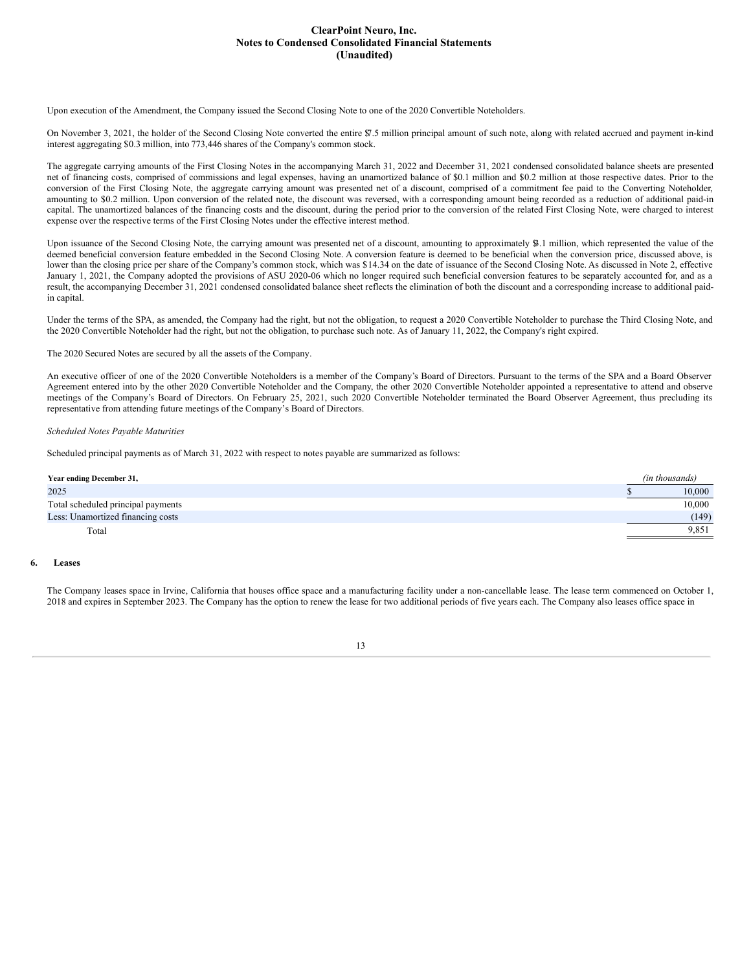Upon execution of the Amendment, the Company issued the Second Closing Note to one of the 2020 Convertible Noteholders.

On November 3, 2021, the holder of the Second Closing Note converted the entire \$7.5 million principal amount of such note, along with related accrued and payment in-kind interest aggregating \$0.3 million, into 773,446 shares of the Company's common stock.

The aggregate carrying amounts of the First Closing Notes in the accompanying March 31, 2022 and December 31, 2021 condensed consolidated balance sheets are presented net of financing costs, comprised of commissions and legal expenses, having an unamortized balance of \$0.1 million and \$0.2 million at those respective dates. Prior to the conversion of the First Closing Note, the aggregate carrying amount was presented net of a discount, comprised of a commitment fee paid to the Converting Noteholder, amounting to \$0.2 million. Upon conversion of the related note, the discount was reversed, with a corresponding amount being recorded as a reduction of additional paid-in capital. The unamortized balances of the financing costs and the discount, during the period prior to the conversion of the related First Closing Note, were charged to interest expense over the respective terms of the First Closing Notes under the effective interest method.

Upon issuance of the Second Closing Note, the carrying amount was presented net of a discount, amounting to approximately \$3.1 million, which represented the value of the deemed beneficial conversion feature embedded in the Second Closing Note. A conversion feature is deemed to be beneficial when the conversion price, discussed above, is lower than the closing price per share of the Company's common stock, which was \$14.34 on the date of issuance of the Second Closing Note. As discussed in Note 2, effective January 1, 2021, the Company adopted the provisions of ASU 2020-06 which no longer required such beneficial conversion features to be separately accounted for, and as a result, the accompanying December 31, 2021 condensed consolidated balance sheet reflects the elimination of both the discount and a corresponding increase to additional paidin capital.

Under the terms of the SPA, as amended, the Company had the right, but not the obligation, to request a 2020 Convertible Noteholder to purchase the Third Closing Note, and the 2020 Convertible Noteholder had the right, but not the obligation, to purchase such note. As of January 11, 2022, the Company's right expired.

#### The 2020 Secured Notes are secured by all the assets of the Company.

An executive officer of one of the 2020 Convertible Noteholders is a member of the Company's Board of Directors. Pursuant to the terms of the SPA and a Board Observer Agreement entered into by the other 2020 Convertible Noteholder and the Company, the other 2020 Convertible Noteholder appointed a representative to attend and observe meetings of the Company's Board of Directors. On February 25, 2021, such 2020 Convertible Noteholder terminated the Board Observer Agreement, thus precluding its representative from attending future meetings of the Company's Board of Directors.

## *Scheduled Notes Payable Maturities*

Scheduled principal payments as of March 31, 2022 with respect to notes payable are summarized as follows:

| Year ending December 31,           | (in thousands) |
|------------------------------------|----------------|
| 2025                               | 10,000         |
| Total scheduled principal payments | 10,000         |
| Less: Unamortized financing costs  | (149)          |
| Total                              | 9,851          |

#### **6. Leases**

The Company leases space in Irvine, California that houses office space and a manufacturing facility under a non-cancellable lease. The lease term commenced on October 1, 2018 and expires in September 2023. The Company has the option to renew the lease for two additional periods of five years each. The Company also leases office space in

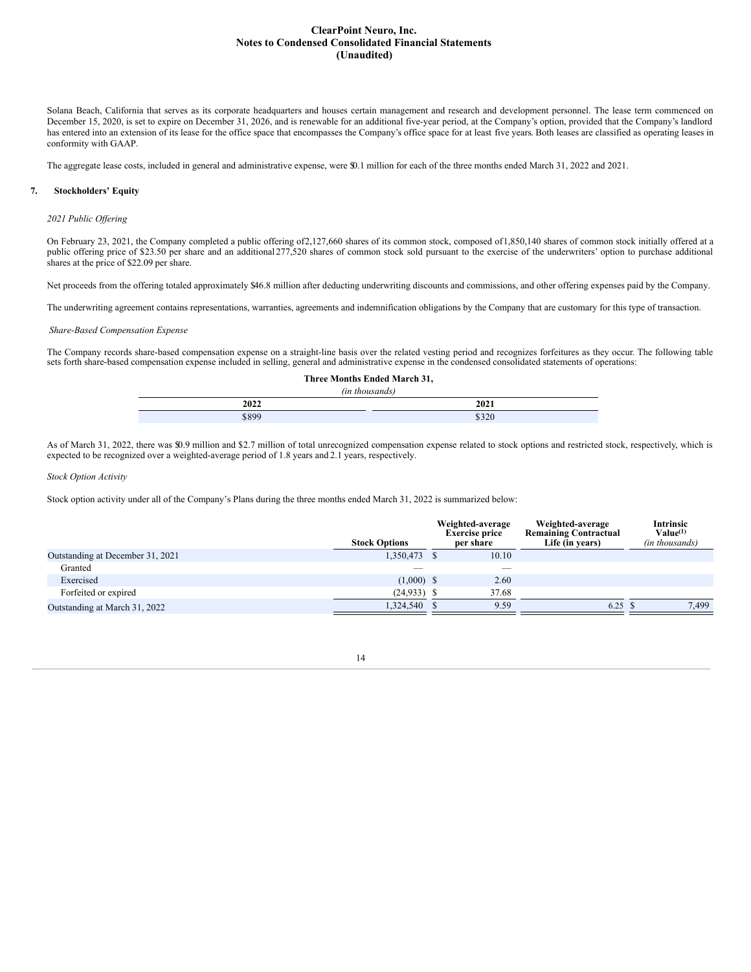Solana Beach, California that serves as its corporate headquarters and houses certain management and research and development personnel. The lease term commenced on December 15, 2020, is set to expire on December 31, 2026, and is renewable for an additional five-year period, at the Company's option, provided that the Company's landlord has entered into an extension of its lease for the office space that encompasses the Company's office space for at least five years. Both leases are classified as operating leases in conformity with GAAP.

The aggregate lease costs, included in general and administrative expense, were \$0.1 million for each of the three months ended March 31, 2022 and 2021.

## **7. Stockholders' Equity**

#### *2021 Public Of ering*

On February 23, 2021, the Company completed a public offering of2,127,660 shares of its common stock, composed of1,850,140 shares of common stock initially offered at a public offering price of \$23.50 per share and an additional 277,520 shares of common stock sold pursuant to the exercise of the underwriters' option to purchase additional shares at the price of \$22.09 per share.

Net proceeds from the offering totaled approximately \$46.8 million after deducting underwriting discounts and commissions, and other offering expenses paid by the Company.

The underwriting agreement contains representations, warranties, agreements and indemnification obligations by the Company that are customary for this type of transaction.

## *Share-Based Compensation Expense*

The Company records share-based compensation expense on a straight-line basis over the related vesting period and recognizes forfeitures as they occur. The following table sets forth share-based compensation expense included in selling, general and administrative expense in the condensed consolidated statements of operations:

| THEre informs Endra march 31, |       |  |  |  |
|-------------------------------|-------|--|--|--|
| (in thousands)                |       |  |  |  |
| 2022                          | 2021  |  |  |  |
| \$899                         | \$320 |  |  |  |

**Three Months Ended March 31,**

As of March 31, 2022, there was \$0.9 million and \$2.7 million of total unrecognized compensation expense related to stock options and restricted stock, respectively, which is expected to be recognized over a weighted-average period of 1.8 years and 2.1 years, respectively.

#### *Stock Option Activity*

Stock option activity under all of the Company's Plans during the three months ended March 31, 2022 is summarized below:

|                                  | <b>Stock Options</b> | Weighted-average<br><b>Exercise price</b><br>per share | Weighted-average<br><b>Remaining Contractual</b><br>Life (in years) | Intrinsic<br>$Value^{(1)}$<br>(in thousands) |       |
|----------------------------------|----------------------|--------------------------------------------------------|---------------------------------------------------------------------|----------------------------------------------|-------|
| Outstanding at December 31, 2021 | 1,350,473 \$         | 10.10                                                  |                                                                     |                                              |       |
| Granted                          |                      |                                                        |                                                                     |                                              |       |
| Exercised                        | $(1,000)$ \$         | 2.60                                                   |                                                                     |                                              |       |
| Forfeited or expired             | $(24,933)$ \$        | 37.68                                                  |                                                                     |                                              |       |
| Outstanding at March 31, 2022    | 1.324.540 \$         | 9.59                                                   | 6.25 <sup>°</sup>                                                   |                                              | 7.499 |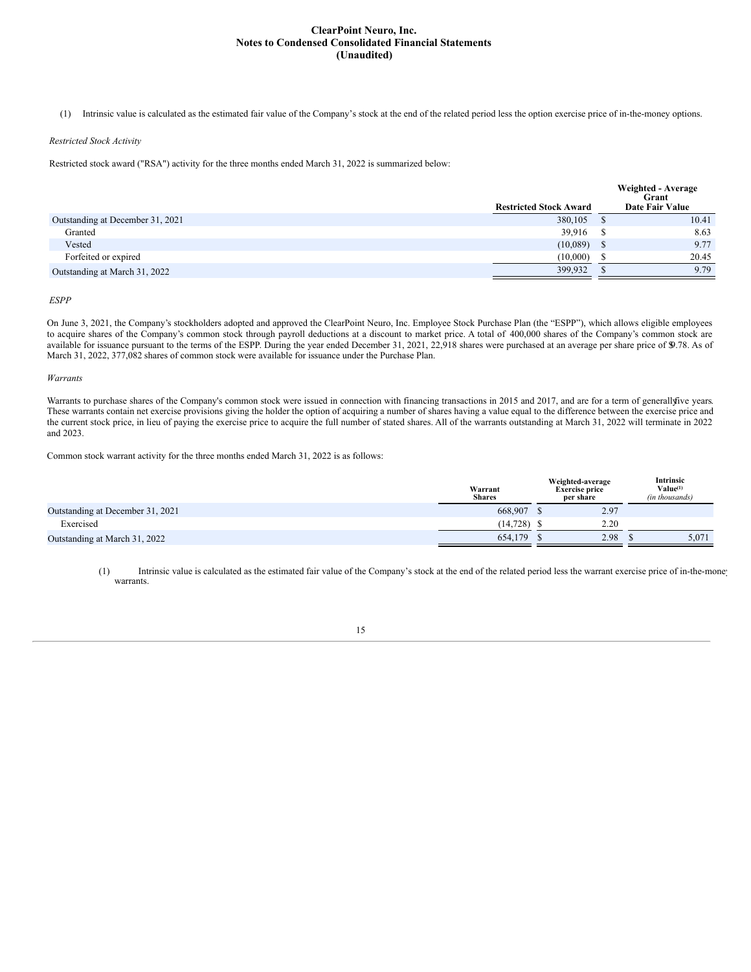(1) Intrinsic value is calculated as the estimated fair value of the Company's stock at the end of the related period less the option exercise price of in-the-money options.

#### *Restricted Stock Activity*

Restricted stock award ("RSA") activity for the three months ended March 31, 2022 is summarized below:

|                                  |                               | Weighted - Average<br>Grant |
|----------------------------------|-------------------------------|-----------------------------|
|                                  | <b>Restricted Stock Award</b> | Date Fair Value             |
| Outstanding at December 31, 2021 | 380,105                       | 10.41                       |
| Granted                          | 39,916                        | 8.63                        |
| Vested                           | (10,089)                      | 9.77                        |
| Forfeited or expired             | (10,000)                      | 20.45                       |
| Outstanding at March 31, 2022    | 399.932                       | 9.79                        |

#### *ESPP*

On June 3, 2021, the Company's stockholders adopted and approved the ClearPoint Neuro, Inc. Employee Stock Purchase Plan (the "ESPP"), which allows eligible employees to acquire shares of the Company's common stock through payroll deductions at a discount to market price. A total of 400,000 shares of the Company's common stock are available for issuance pursuant to the terms of the ESPP. During the year ended December 31, 2021, 22,918 shares were purchased at an average per share price of \$9.78. As of March 31, 2022, 377,082 shares of common stock were available for issuance under the Purchase Plan.

#### *Warrants*

Warrants to purchase shares of the Company's common stock were issued in connection with financing transactions in 2015 and 2017, and are for a term of generallyfive years. These warrants contain net exercise provisions giving the holder the option of acquiring a number of shares having a value equal to the difference between the exercise price and the current stock price, in lieu of paying the exercise price to acquire the full number of stated shares. All of the warrants outstanding at March 31, 2022 will terminate in 2022 and 2023.

Common stock warrant activity for the three months ended March 31, 2022 is as follows:

|                                  | Warrant<br><b>Shares</b> |  | Weighted-average<br><b>Exercise price</b><br>per share |  | <b>Intrinsic</b><br>$Value^{(1)}$<br>(in thousands) |  |
|----------------------------------|--------------------------|--|--------------------------------------------------------|--|-----------------------------------------------------|--|
| Outstanding at December 31, 2021 | 668,907                  |  | 2.97                                                   |  |                                                     |  |
| Exercised                        | (14.728)                 |  | 2.20                                                   |  |                                                     |  |
| Outstanding at March 31, 2022    | 654.179                  |  | 2.98                                                   |  | 5.071                                               |  |

<span id="page-18-0"></span>(1) Intrinsic value is calculated as the estimated fair value of the Company's stock at the end of the related period less the warrant exercise price of in-the-money warrants.

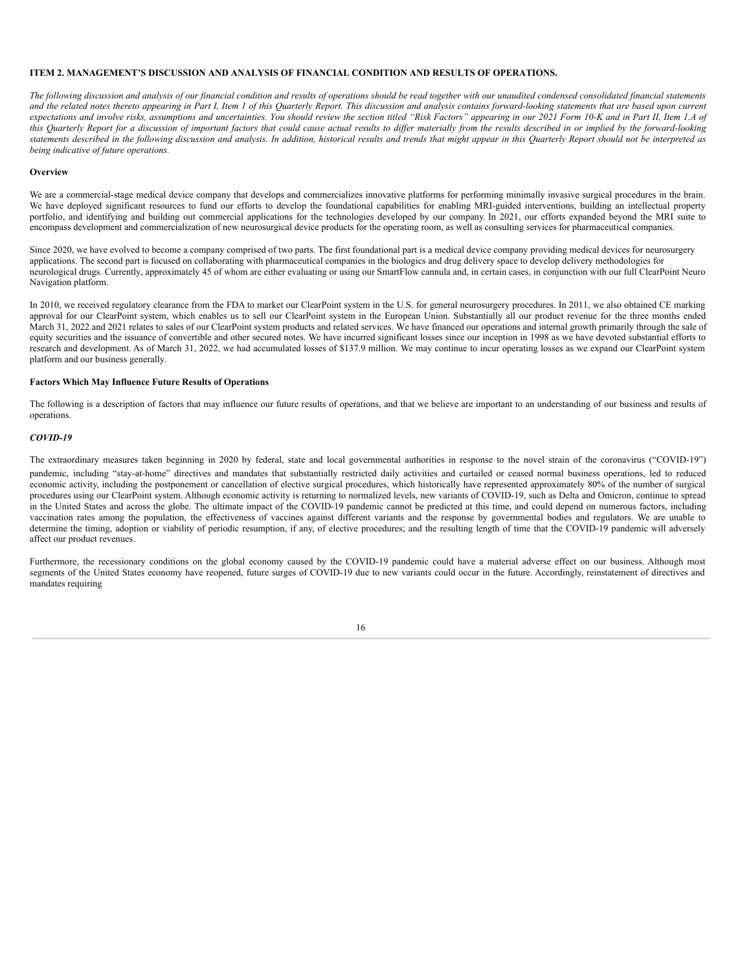# **ITEM 2. MANAGEMENT'S DISCUSSION AND ANALYSIS OF FINANCIAL CONDITION AND RESULTS OF OPERATIONS.**

The following discussion and analysis of our financial condition and results of operations should be read together with our unaudited condensed consolidated financial statements and the related notes thereto appearing in Part I, Item 1 of this Quarterly Report. This discussion and analysis contains forward-looking statements that are based upon current expectations and involve risks, assumptions and uncertainties. You should review the section titled "Risk Factors" appearing in our 2021 Form 10-K and in Part II, Item 1.A of this Quarterly Report for a discussion of important factors that could cause actual results to differ materially from the results described in or implied by the forward-looking statements described in the following discussion and analysis. In addition, historical results and trends that might appear in this Quarterly Report should not be interpreted as *being indicative of future operations.*

#### **Overview**

We are a commercial-stage medical device company that develops and commercializes innovative platforms for performing minimally invasive surgical procedures in the brain. We have deployed significant resources to fund our efforts to develop the foundational capabilities for enabling MRI-guided interventions, building an intellectual property portfolio, and identifying and building out commercial applications for the technologies developed by our company. In 2021, our efforts expanded beyond the MRI suite to encompass development and commercialization of new neurosurgical device products for the operating room, as well as consulting services for pharmaceutical companies.

Since 2020, we have evolved to become a company comprised of two parts. The first foundational part is a medical device company providing medical devices for neurosurgery applications. The second part is focused on collaborating with pharmaceutical companies in the biologics and drug delivery space to develop delivery methodologies for neurological drugs. Currently, approximately 45 of whom are either evaluating or using our SmartFlow cannula and, in certain cases, in conjunction with our full ClearPoint Neuro Navigation platform.

In 2010, we received regulatory clearance from the FDA to market our ClearPoint system in the U.S. for general neurosurgery procedures. In 2011, we also obtained CE marking approval for our ClearPoint system, which enables us to sell our ClearPoint system in the European Union. Substantially all our product revenue for the three months ended March 31, 2022 and 2021 relates to sales of our ClearPoint system products and related services. We have financed our operations and internal growth primarily through the sale of equity securities and the issuance of convertible and other secured notes. We have incurred significant losses since our inception in 1998 as we have devoted substantial efforts to research and development. As of March 31, 2022, we had accumulated losses of \$137.9 million. We may continue to incur operating losses as we expand our ClearPoint system platform and our business generally.

#### **Factors Which May Influence Future Results of Operations**

The following is a description of factors that may influence our future results of operations, and that we believe are important to an understanding of our business and results of operations.

## *COVID-19*

The extraordinary measures taken beginning in 2020 by federal, state and local governmental authorities in response to the novel strain of the coronavirus ("COVID-19") pandemic, including "stay-at-home" directives and mandates that substantially restricted daily activities and curtailed or ceased normal business operations, led to reduced economic activity, including the postponement or cancellation of elective surgical procedures, which historically have represented approximately 80% of the number of surgical procedures using our ClearPoint system. Although economic activity is returning to normalized levels, new variants of COVID-19, such as Delta and Omicron, continue to spread in the United States and across the globe. The ultimate impact of the COVID-19 pandemic cannot be predicted at this time, and could depend on numerous factors, including vaccination rates among the population, the effectiveness of vaccines against different variants and the response by governmental bodies and regulators. We are unable to determine the timing, adoption or viability of periodic resumption, if any, of elective procedures; and the resulting length of time that the COVID-19 pandemic will adversely affect our product revenues.

Furthermore, the recessionary conditions on the global economy caused by the COVID-19 pandemic could have a material adverse effect on our business. Although most segments of the United States economy have reopened, future surges of COVID-19 due to new variants could occur in the future. Accordingly, reinstatement of directives and mandates requiring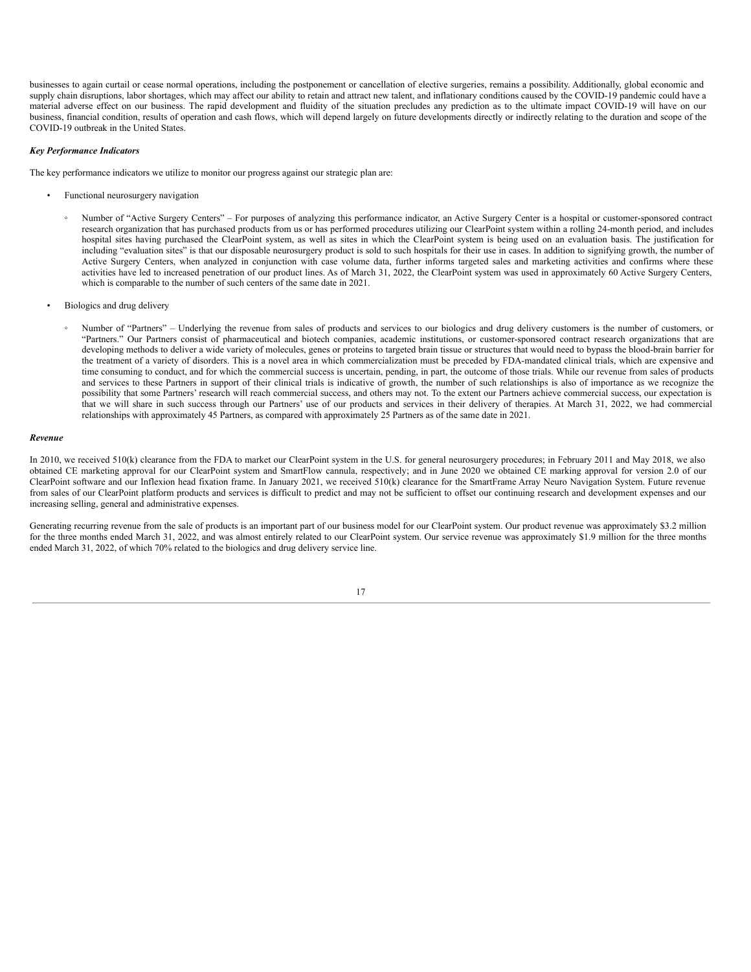businesses to again curtail or cease normal operations, including the postponement or cancellation of elective surgeries, remains a possibility. Additionally, global economic and supply chain disruptions, labor shortages, which may affect our ability to retain and attract new talent, and inflationary conditions caused by the COVID-19 pandemic could have a material adverse effect on our business. The rapid development and fluidity of the situation precludes any prediction as to the ultimate impact COVID-19 will have on our business, financial condition, results of operation and cash flows, which will depend largely on future developments directly or indirectly relating to the duration and scope of the COVID-19 outbreak in the United States.

### *Key Performance Indicators*

The key performance indicators we utilize to monitor our progress against our strategic plan are:

- Functional neurosurgery navigation
- Number of "Active Surgery Centers" For purposes of analyzing this performance indicator, an Active Surgery Center is a hospital or customer-sponsored contract research organization that has purchased products from us or has performed procedures utilizing our ClearPoint system within a rolling 24-month period, and includes hospital sites having purchased the ClearPoint system, as well as sites in which the ClearPoint system is being used on an evaluation basis. The justification for including "evaluation sites" is that our disposable neurosurgery product is sold to such hospitals for their use in cases. In addition to signifying growth, the number of Active Surgery Centers, when analyzed in conjunction with case volume data, further informs targeted sales and marketing activities and confirms where these activities have led to increased penetration of our product lines. As of March 31, 2022, the ClearPoint system was used in approximately 60 Active Surgery Centers, which is comparable to the number of such centers of the same date in 2021.
- Biologics and drug delivery
	- Number of "Partners" Underlying the revenue from sales of products and services to our biologics and drug delivery customers is the number of customers, or "Partners." Our Partners consist of pharmaceutical and biotech companies, academic institutions, or customer-sponsored contract research organizations that are developing methods to deliver a wide variety of molecules, genes or proteins to targeted brain tissue or structures that would need to bypass the blood-brain barrier for the treatment of a variety of disorders. This is a novel area in which commercialization must be preceded by FDA-mandated clinical trials, which are expensive and time consuming to conduct, and for which the commercial success is uncertain, pending, in part, the outcome of those trials. While our revenue from sales of products and services to these Partners in support of their clinical trials is indicative of growth, the number of such relationships is also of importance as we recognize the possibility that some Partners' research will reach commercial success, and others may not. To the extent our Partners achieve commercial success, our expectation is that we will share in such success through our Partners' use of our products and services in their delivery of therapies. At March 31, 2022, we had commercial relationships with approximately 45 Partners, as compared with approximately 25 Partners as of the same date in 2021.

### *Revenue*

In 2010, we received 510(k) clearance from the FDA to market our ClearPoint system in the U.S. for general neurosurgery procedures; in February 2011 and May 2018, we also obtained CE marketing approval for our ClearPoint system and SmartFlow cannula, respectively; and in June 2020 we obtained CE marking approval for version 2.0 of our ClearPoint software and our Inflexion head fixation frame. In January 2021, we received 510(k) clearance for the SmartFrame Array Neuro Navigation System. Future revenue from sales of our ClearPoint platform products and services is difficult to predict and may not be sufficient to offset our continuing research and development expenses and our increasing selling, general and administrative expenses.

Generating recurring revenue from the sale of products is an important part of our business model for our ClearPoint system. Our product revenue was approximately \$3.2 million for the three months ended March 31, 2022, and was almost entirely related to our ClearPoint system. Our service revenue was approximately \$1.9 million for the three months ended March 31, 2022, of which 70% related to the biologics and drug delivery service line.

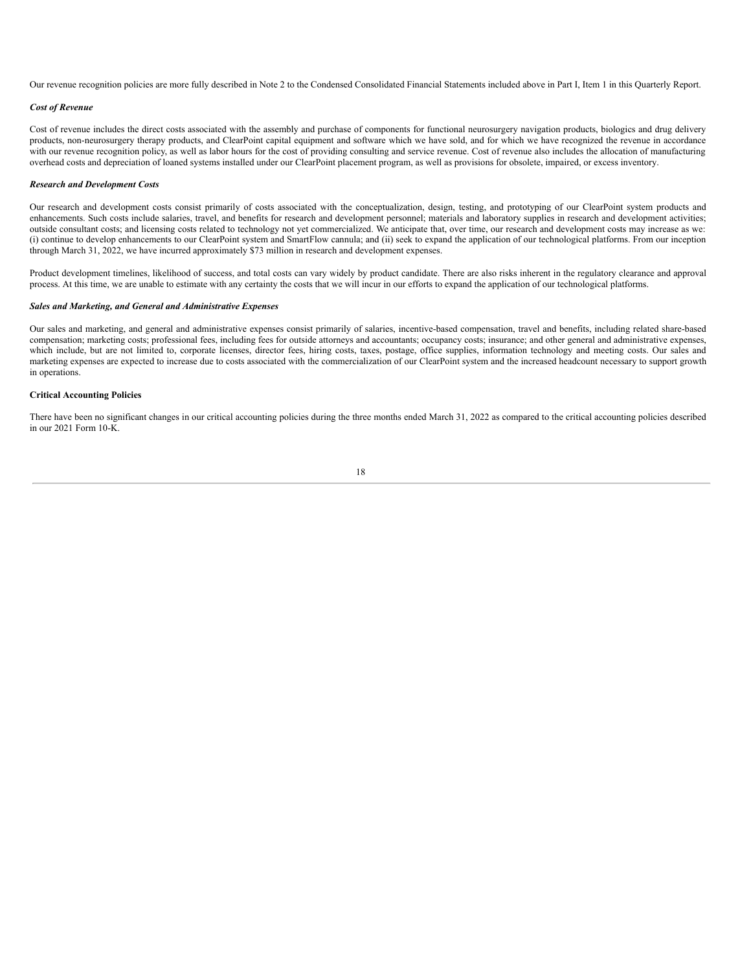Our revenue recognition policies are more fully described in Note 2 to the Condensed Consolidated Financial Statements included above in Part I, Item 1 in this Quarterly Report.

## *Cost of Revenue*

Cost of revenue includes the direct costs associated with the assembly and purchase of components for functional neurosurgery navigation products, biologics and drug delivery products, non-neurosurgery therapy products, and ClearPoint capital equipment and software which we have sold, and for which we have recognized the revenue in accordance with our revenue recognition policy, as well as labor hours for the cost of providing consulting and service revenue. Cost of revenue also includes the allocation of manufacturing overhead costs and depreciation of loaned systems installed under our ClearPoint placement program, as well as provisions for obsolete, impaired, or excess inventory.

#### *Research and Development Costs*

Our research and development costs consist primarily of costs associated with the conceptualization, design, testing, and prototyping of our ClearPoint system products and enhancements. Such costs include salaries, travel, and benefits for research and development personnel; materials and laboratory supplies in research and development activities; outside consultant costs; and licensing costs related to technology not yet commercialized. We anticipate that, over time, our research and development costs may increase as we: (i) continue to develop enhancements to our ClearPoint system and SmartFlow cannula; and (ii) seek to expand the application of our technological platforms. From our inception through March 31, 2022, we have incurred approximately \$73 million in research and development expenses.

Product development timelines, likelihood of success, and total costs can vary widely by product candidate. There are also risks inherent in the regulatory clearance and approval process. At this time, we are unable to estimate with any certainty the costs that we will incur in our efforts to expand the application of our technological platforms.

### *Sales and Marketing, and General and Administrative Expenses*

Our sales and marketing, and general and administrative expenses consist primarily of salaries, incentive-based compensation, travel and benefits, including related share-based compensation; marketing costs; professional fees, including fees for outside attorneys and accountants; occupancy costs; insurance; and other general and administrative expenses, which include, but are not limited to, corporate licenses, director fees, hiring costs, taxes, postage, office supplies, information technology and meeting costs. Our sales and marketing expenses are expected to increase due to costs associated with the commercialization of our ClearPoint system and the increased headcount necessary to support growth in operations.

#### **Critical Accounting Policies**

There have been no significant changes in our critical accounting policies during the three months ended March 31, 2022 as compared to the critical accounting policies described in our 2021 Form 10-K.

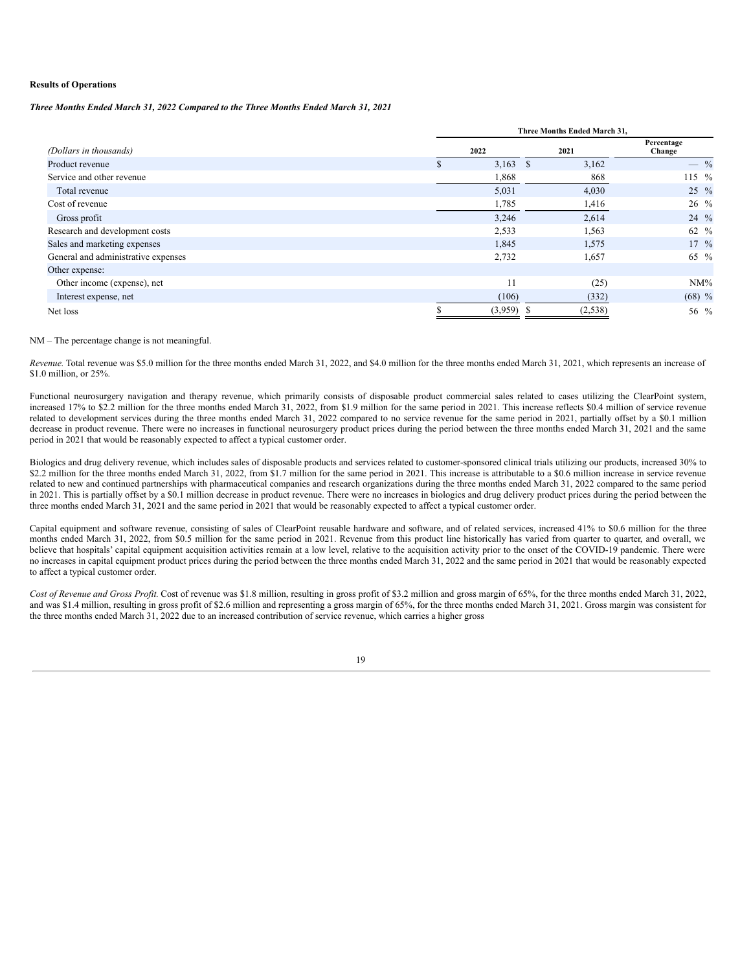## **Results of Operations**

### *Three Months Ended March 31, 2022 Compared to the Three Months Ended March 31, 2021*

|                                     | Three Months Ended March 31, |              |          |                      |
|-------------------------------------|------------------------------|--------------|----------|----------------------|
| (Dollars in thousands)              | 2022                         |              | 2021     | Percentage<br>Change |
| Product revenue                     |                              | $3,163$ \$   | 3,162    | $-$ %                |
| Service and other revenue           |                              | 1,868        | 868      | 115 $%$              |
| Total revenue                       |                              | 5,031        | 4,030    | $25\frac{9}{6}$      |
| Cost of revenue                     |                              | 1,785        | 1,416    | $26\frac{9}{6}$      |
| Gross profit                        |                              | 3,246        | 2,614    | $24\frac{9}{6}$      |
| Research and development costs      |                              | 2,533        | 1,563    | 62 $\frac{9}{6}$     |
| Sales and marketing expenses        |                              | 1,845        | 1,575    | $17 \frac{9}{6}$     |
| General and administrative expenses |                              | 2,732        | 1,657    | 65 %                 |
| Other expense:                      |                              |              |          |                      |
| Other income (expense), net         |                              | 11           | (25)     | $NM\%$               |
| Interest expense, net               |                              | (106)        | (332)    | $(68)$ %             |
| Net loss                            |                              | $(3,959)$ \$ | (2, 538) | 56 %                 |

#### NM – The percentage change is not meaningful.

*Revenue.* Total revenue was \$5.0 million for the three months ended March 31, 2022, and \$4.0 million for the three months ended March 31, 2021, which represents an increase of \$1.0 million, or 25%.

Functional neurosurgery navigation and therapy revenue, which primarily consists of disposable product commercial sales related to cases utilizing the ClearPoint system, increased 17% to \$2.2 million for the three months ended March 31, 2022, from \$1.9 million for the same period in 2021. This increase reflects \$0.4 million of service revenue related to development services during the three months ended March 31, 2022 compared to no service revenue for the same period in 2021, partially offset by a \$0.1 million decrease in product revenue. There were no increases in functional neurosurgery product prices during the period between the three months ended March 31, 2021 and the same period in 2021 that would be reasonably expected to affect a typical customer order.

Biologics and drug delivery revenue, which includes sales of disposable products and services related to customer-sponsored clinical trials utilizing our products, increased 30% to \$2.2 million for the three months ended March 31, 2022, from \$1.7 million for the same period in 2021. This increase is attributable to a \$0.6 million increase in service revenue related to new and continued partnerships with pharmaceutical companies and research organizations during the three months ended March 31, 2022 compared to the same period in 2021. This is partially offset by a \$0.1 million decrease in product revenue. There were no increases in biologics and drug delivery product prices during the period between the three months ended March 31, 2021 and the same period in 2021 that would be reasonably expected to affect a typical customer order.

Capital equipment and software revenue, consisting of sales of ClearPoint reusable hardware and software, and of related services, increased 41% to \$0.6 million for the three months ended March 31, 2022, from \$0.5 million for the same period in 2021. Revenue from this product line historically has varied from quarter to quarter, and overall, we believe that hospitals' capital equipment acquisition activities remain at a low level, relative to the acquisition activity prior to the onset of the COVID-19 pandemic. There were no increases in capital equipment product prices during the period between the three months ended March 31, 2022 and the same period in 2021 that would be reasonably expected to affect a typical customer order.

*Cost of Revenue and Gross Profit.* Cost of revenue was \$1.8 million, resulting in gross profit of \$3.2 million and gross margin of 65%, for the three months ended March 31, 2022, and was \$1.4 million, resulting in gross profit of \$2.6 million and representing a gross margin of 65%, for the three months ended March 31, 2021. Gross margin was consistent for the three months ended March 31, 2022 due to an increased contribution of service revenue, which carries a higher gross

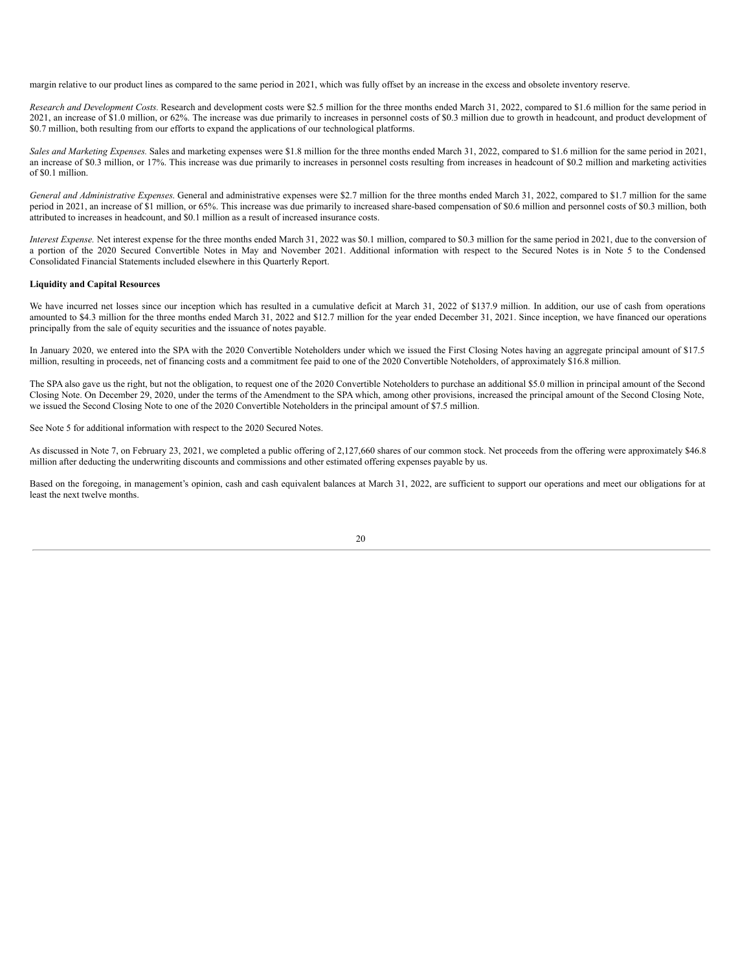margin relative to our product lines as compared to the same period in 2021, which was fully offset by an increase in the excess and obsolete inventory reserve.

*Research and Development Costs.* Research and development costs were \$2.5 million for the three months ended March 31, 2022, compared to \$1.6 million for the same period in 2021, an increase of \$1.0 million, or 62%. The increase was due primarily to increases in personnel costs of \$0.3 million due to growth in headcount, and product development of \$0.7 million, both resulting from our efforts to expand the applications of our technological platforms.

*Sales and Marketing Expenses.* Sales and marketing expenses were \$1.8 million for the three months ended March 31, 2022, compared to \$1.6 million for the same period in 2021, an increase of \$0.3 million, or 17%. This increase was due primarily to increases in personnel costs resulting from increases in headcount of \$0.2 million and marketing activities of \$0.1 million.

*General and Administrative Expenses*. General and administrative expenses were \$2.7 million for the three months ended March 31, 2022, compared to \$1.7 million for the same period in 2021, an increase of \$1 million, or 65%. This increase was due primarily to increased share-based compensation of \$0.6 million and personnel costs of \$0.3 million, both attributed to increases in headcount, and \$0.1 million as a result of increased insurance costs.

*Interest Expense.* Net interest expense for the three months ended March 31, 2022 was \$0.1 million, compared to \$0.3 million for the same period in 2021, due to the conversion of a portion of the 2020 Secured Convertible Notes in May and November 2021. Additional information with respect to the Secured Notes is in Note 5 to the Condensed Consolidated Financial Statements included elsewhere in this Quarterly Report.

#### **Liquidity and Capital Resources**

We have incurred net losses since our inception which has resulted in a cumulative deficit at March 31, 2022 of \$137.9 million. In addition, our use of cash from operations amounted to \$4.3 million for the three months ended March 31, 2022 and \$12.7 million for the year ended December 31, 2021. Since inception, we have financed our operations principally from the sale of equity securities and the issuance of notes payable.

In January 2020, we entered into the SPA with the 2020 Convertible Noteholders under which we issued the First Closing Notes having an aggregate principal amount of \$17.5 million, resulting in proceeds, net of financing costs and a commitment fee paid to one of the 2020 Convertible Noteholders, of approximately \$16.8 million.

The SPA also gave us the right, but not the obligation, to request one of the 2020 Convertible Noteholders to purchase an additional \$5.0 million in principal amount of the Second Closing Note. On December 29, 2020, under the terms of the Amendment to the SPA which, among other provisions, increased the principal amount of the Second Closing Note, we issued the Second Closing Note to one of the 2020 Convertible Noteholders in the principal amount of \$7.5 million.

See Note 5 for additional information with respect to the 2020 Secured Notes.

As discussed in Note 7, on February 23, 2021, we completed a public offering of 2,127,660 shares of our common stock. Net proceeds from the offering were approximately \$46.8 million after deducting the underwriting discounts and commissions and other estimated offering expenses payable by us.

Based on the foregoing, in management's opinion, cash and cash equivalent balances at March 31, 2022, are sufficient to support our operations and meet our obligations for at least the next twelve months.

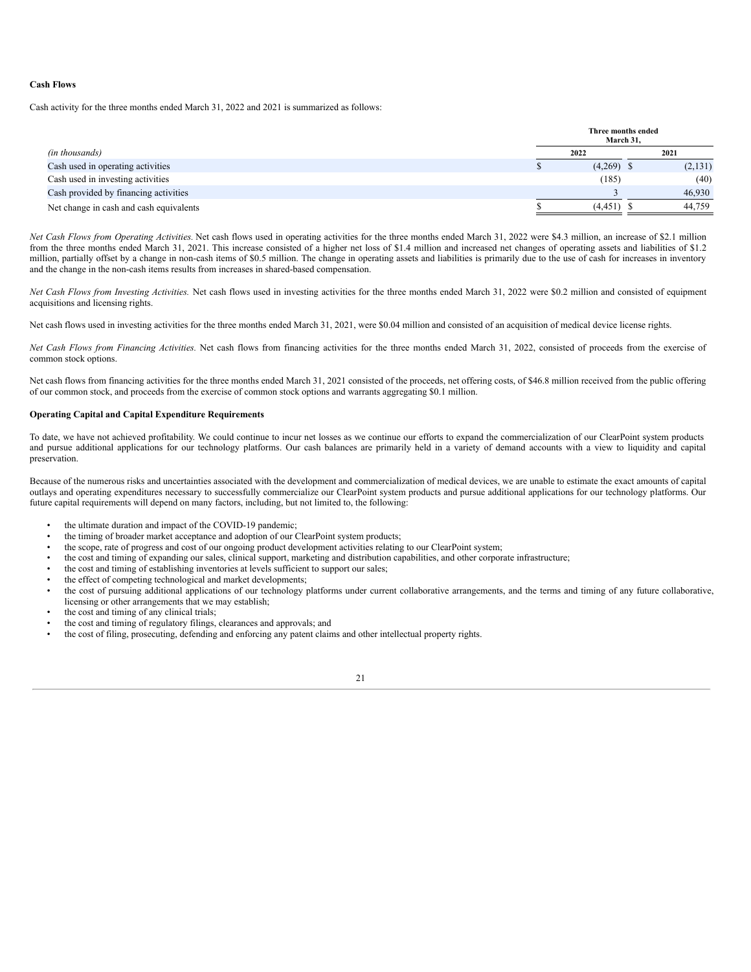## **Cash Flows**

Cash activity for the three months ended March 31, 2022 and 2021 is summarized as follows:

|                                         | Three months ended<br>March 31, |              |  |         |
|-----------------------------------------|---------------------------------|--------------|--|---------|
| (in thousands)                          |                                 | 2022         |  | 2021    |
| Cash used in operating activities       |                                 | $(4,269)$ \$ |  | (2,131) |
| Cash used in investing activities       |                                 | (185)        |  | (40)    |
| Cash provided by financing activities   |                                 |              |  | 46,930  |
| Net change in cash and cash equivalents |                                 | $(4,451)$ \$ |  | 44,759  |

*Net Cash Flows from Operating Activities.* Net cash flows used in operating activities for the three months ended March 31, 2022 were \$4.3 million, an increase of \$2.1 million from the three months ended March 31, 2021. This increase consisted of a higher net loss of \$1.4 million and increased net changes of operating assets and liabilities of \$1.2 million, partially offset by a change in non-cash items of \$0.5 million. The change in operating assets and liabilities is primarily due to the use of cash for increases in inventory and the change in the non-cash items results from increases in shared-based compensation.

*Net Cash Flows from Investing Activities.* Net cash flows used in investing activities for the three months ended March 31, 2022 were \$0.2 million and consisted of equipment acquisitions and licensing rights.

Net cash flows used in investing activities for the three months ended March 31, 2021, were \$0.04 million and consisted of an acquisition of medical device license rights.

*Net Cash Flows from Financing Activities.* Net cash flows from financing activities for the three months ended March 31, 2022, consisted of proceeds from the exercise of common stock options.

Net cash flows from financing activities for the three months ended March 31, 2021 consisted of the proceeds, net offering costs, of \$46.8 million received from the public offering of our common stock, and proceeds from the exercise of common stock options and warrants aggregating \$0.1 million.

#### **Operating Capital and Capital Expenditure Requirements**

To date, we have not achieved profitability. We could continue to incur net losses as we continue our efforts to expand the commercialization of our ClearPoint system products and pursue additional applications for our technology platforms. Our cash balances are primarily held in a variety of demand accounts with a view to liquidity and capital preservation.

Because of the numerous risks and uncertainties associated with the development and commercialization of medical devices, we are unable to estimate the exact amounts of capital outlays and operating expenditures necessary to successfully commercialize our ClearPoint system products and pursue additional applications for our technology platforms. Our future capital requirements will depend on many factors, including, but not limited to, the following:

- the ultimate duration and impact of the COVID-19 pandemic;
- the timing of broader market acceptance and adoption of our ClearPoint system products;
- the scope, rate of progress and cost of our ongoing product development activities relating to our ClearPoint system;
- the cost and timing of expanding our sales, clinical support, marketing and distribution capabilities, and other corporate infrastructure;
- the cost and timing of establishing inventories at levels sufficient to support our sales;
- the effect of competing technological and market developments;
- the cost of pursuing additional applications of our technology platforms under current collaborative arrangements, and the terms and timing of any future collaborative, licensing or other arrangements that we may establish;
- the cost and timing of any clinical trials;
- the cost and timing of regulatory filings, clearances and approvals; and
- <span id="page-24-0"></span>• the cost of filing, prosecuting, defending and enforcing any patent claims and other intellectual property rights.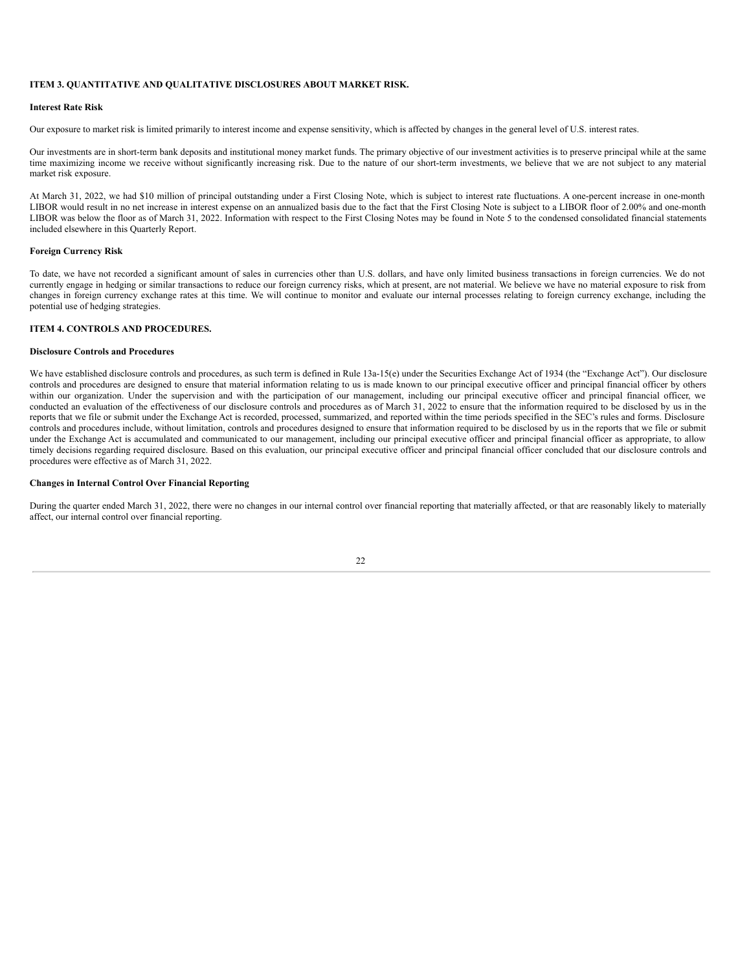### **ITEM 3. QUANTITATIVE AND QUALITATIVE DISCLOSURES ABOUT MARKET RISK.**

### **Interest Rate Risk**

Our exposure to market risk is limited primarily to interest income and expense sensitivity, which is affected by changes in the general level of U.S. interest rates.

Our investments are in short-term bank deposits and institutional money market funds. The primary objective of our investment activities is to preserve principal while at the same time maximizing income we receive without significantly increasing risk. Due to the nature of our short-term investments, we believe that we are not subject to any material market risk exposure.

At March 31, 2022, we had \$10 million of principal outstanding under a First Closing Note, which is subject to interest rate fluctuations. A one-percent increase in one-month LIBOR would result in no net increase in interest expense on an annualized basis due to the fact that the First Closing Note is subject to a LIBOR floor of 2.00% and one-month LIBOR was below the floor as of March 31, 2022. Information with respect to the First Closing Notes may be found in Note 5 to the condensed consolidated financial statements included elsewhere in this Quarterly Report.

#### **Foreign Currency Risk**

To date, we have not recorded a significant amount of sales in currencies other than U.S. dollars, and have only limited business transactions in foreign currencies. We do not currently engage in hedging or similar transactions to reduce our foreign currency risks, which at present, are not material. We believe we have no material exposure to risk from changes in foreign currency exchange rates at this time. We will continue to monitor and evaluate our internal processes relating to foreign currency exchange, including the potential use of hedging strategies.

## <span id="page-25-0"></span>**ITEM 4. CONTROLS AND PROCEDURES.**

## **Disclosure Controls and Procedures**

We have established disclosure controls and procedures, as such term is defined in Rule 13a-15(e) under the Securities Exchange Act of 1934 (the "Exchange Act"). Our disclosure controls and procedures are designed to ensure that material information relating to us is made known to our principal executive officer and principal financial officer by others within our organization. Under the supervision and with the participation of our management, including our principal executive officer and principal financial officer, we conducted an evaluation of the effectiveness of our disclosure controls and procedures as of March 31, 2022 to ensure that the information required to be disclosed by us in the reports that we file or submit under the Exchange Act is recorded, processed, summarized, and reported within the time periods specified in the SEC's rules and forms. Disclosure controls and procedures include, without limitation, controls and procedures designed to ensure that information required to be disclosed by us in the reports that we file or submit under the Exchange Act is accumulated and communicated to our management, including our principal executive officer and principal financial officer as appropriate, to allow timely decisions regarding required disclosure. Based on this evaluation, our principal executive officer and principal financial officer concluded that our disclosure controls and procedures were effective as of March 31, 2022.

# **Changes in Internal Control Over Financial Reporting**

<span id="page-25-1"></span>During the quarter ended March 31, 2022, there were no changes in our internal control over financial reporting that materially affected, or that are reasonably likely to materially affect, our internal control over financial reporting.

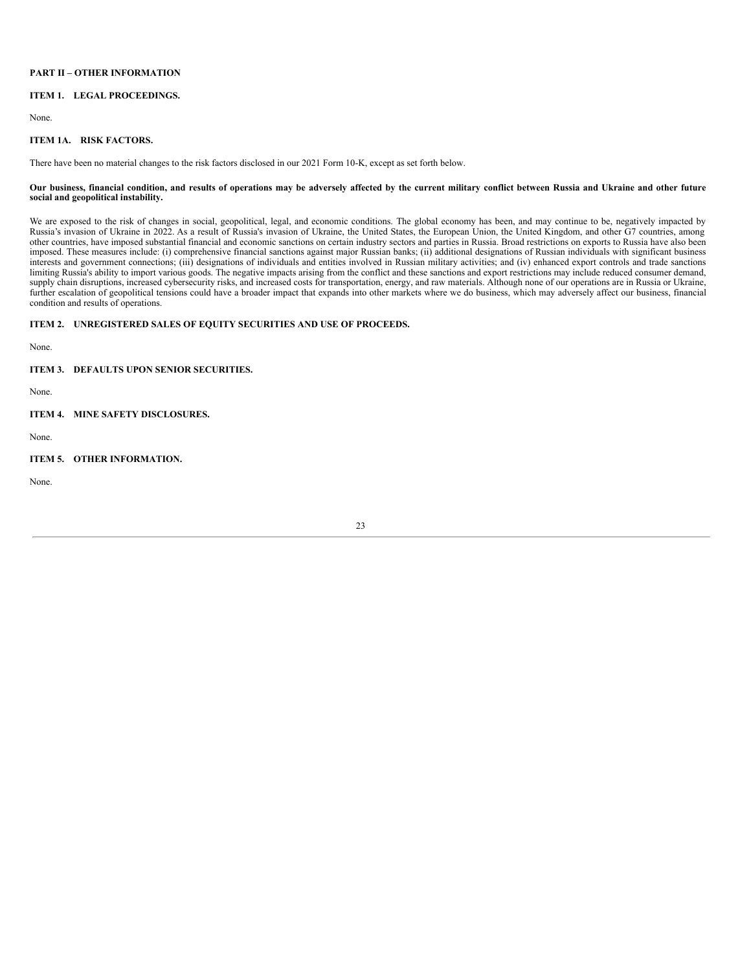# <span id="page-26-0"></span>**PART II – OTHER INFORMATION**

## **ITEM 1. LEGAL PROCEEDINGS.**

<span id="page-26-1"></span>None.

# **ITEM 1A. RISK FACTORS.**

There have been no material changes to the risk factors disclosed in our 2021 Form 10-K, except as set forth below.

### Our business, financial condition, and results of operations may be adversely affected by the current military conflict between Russia and Ukraine and other future **social and geopolitical instability.**

We are exposed to the risk of changes in social, geopolitical, legal, and economic conditions. The global economy has been, and may continue to be, negatively impacted by Russia's invasion of Ukraine in 2022. As a result of Russia's invasion of Ukraine, the United States, the European Union, the United Kingdom, and other G7 countries, among other countries, have imposed substantial financial and economic sanctions on certain industry sectors and parties in Russia. Broad restrictions on exports to Russia have also been imposed. These measures include: (i) comprehensive financial sanctions against major Russian banks; (ii) additional designations of Russian individuals with significant business interests and government connections; (iii) designations of individuals and entities involved in Russian military activities; and (iv) enhanced export controls and trade sanctions limiting Russia's ability to import various goods. The negative impacts arising from the conflict and these sanctions and export restrictions may include reduced consumer demand, supply chain disruptions, increased cybersecurity risks, and increased costs for transportation, energy, and raw materials. Although none of our operations are in Russia or Ukraine, further escalation of geopolitical tensions could have a broader impact that expands into other markets where we do business, which may adversely affect our business, financial condition and results of operations.

## <span id="page-26-2"></span>**ITEM 2. UNREGISTERED SALES OF EQUITY SECURITIES AND USE OF PROCEEDS.**

<span id="page-26-3"></span>None.

## **ITEM 3. DEFAULTS UPON SENIOR SECURITIES.**

<span id="page-26-4"></span>None.

## **ITEM 4. MINE SAFETY DISCLOSURES.**

<span id="page-26-5"></span>None.

## **ITEM 5. OTHER INFORMATION.**

<span id="page-26-6"></span>None.

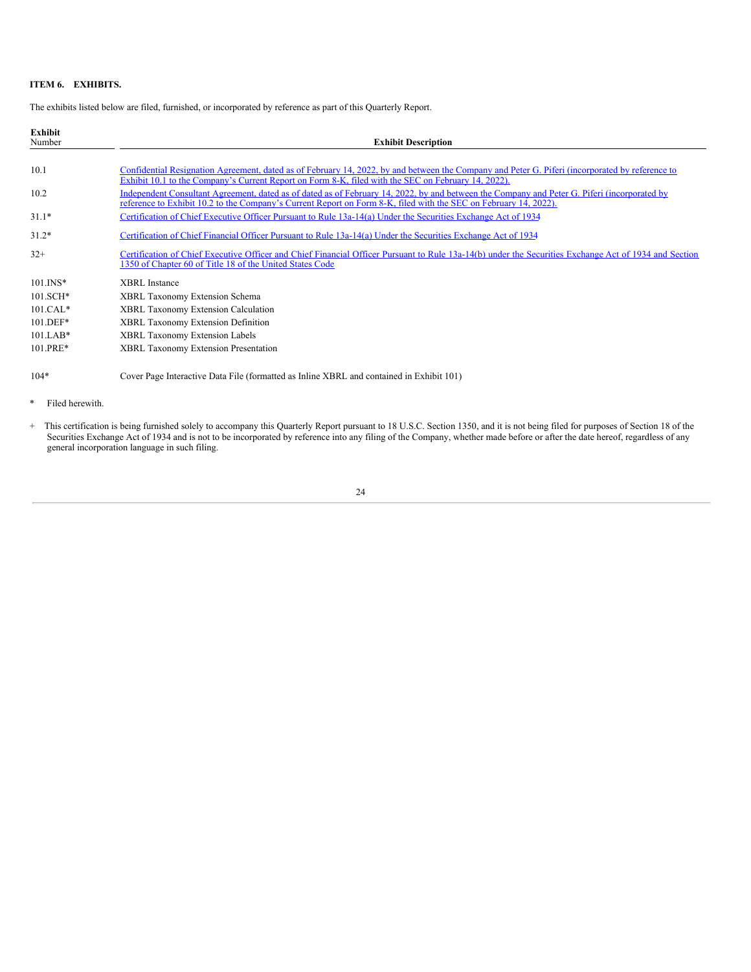# **ITEM 6. EXHIBITS.**

The exhibits listed below are filed, furnished, or incorporated by reference as part of this Quarterly Report.

| <b>Exhibit</b><br>Number | <b>Exhibit Description</b>                                                                                                                                                                                                                                       |
|--------------------------|------------------------------------------------------------------------------------------------------------------------------------------------------------------------------------------------------------------------------------------------------------------|
| 10.1                     | Confidential Resignation Agreement, dated as of February 14, 2022, by and between the Company and Peter G. Piferi (incorporated by reference to<br>Exhibit 10.1 to the Company's Current Report on Form 8-K, filed with the SEC on February 14, 2022).           |
| 10.2                     | Independent Consultant Agreement, dated as of dated as of February 14, 2022, by and between the Company and Peter G. Piferi (incorporated by<br>reference to Exhibit 10.2 to the Company's Current Report on Form 8-K, filed with the SEC on February 14, 2022). |
| $31.1*$                  | Certification of Chief Executive Officer Pursuant to Rule 13a-14(a) Under the Securities Exchange Act of 1934                                                                                                                                                    |
| $31.2*$                  | Certification of Chief Financial Officer Pursuant to Rule 13a-14(a) Under the Securities Exchange Act of 1934                                                                                                                                                    |
| $32+$                    | Certification of Chief Executive Officer and Chief Financial Officer Pursuant to Rule 13a-14(b) under the Securities Exchange Act of 1934 and Section<br>1350 of Chapter 60 of Title 18 of the United States Code                                                |
| $101.$ INS*              | <b>XBRL</b> Instance                                                                                                                                                                                                                                             |
| $101.SCH*$               | <b>XBRL Taxonomy Extension Schema</b>                                                                                                                                                                                                                            |
| $101.CAL*$               | XBRL Taxonomy Extension Calculation                                                                                                                                                                                                                              |
| 101.DEF*                 | XBRL Taxonomy Extension Definition                                                                                                                                                                                                                               |
| $101.LAB*$               | XBRL Taxonomy Extension Labels                                                                                                                                                                                                                                   |
| 101.PRE*                 | <b>XBRL Taxonomy Extension Presentation</b>                                                                                                                                                                                                                      |
| $104*$                   | Cover Page Interactive Data File (formatted as Inline XBRL and contained in Exhibit 101)                                                                                                                                                                         |

\* Filed herewith.

<span id="page-27-0"></span>+ This certification is being furnished solely to accompany this Quarterly Report pursuant to 18 U.S.C. Section 1350, and it is not being filed for purposes of Section 18 of the Securities Exchange Act of 1934 and is not to be incorporated by reference into any filing of the Company, whether made before or after the date hereof, regardless of any general incorporation language in such filing.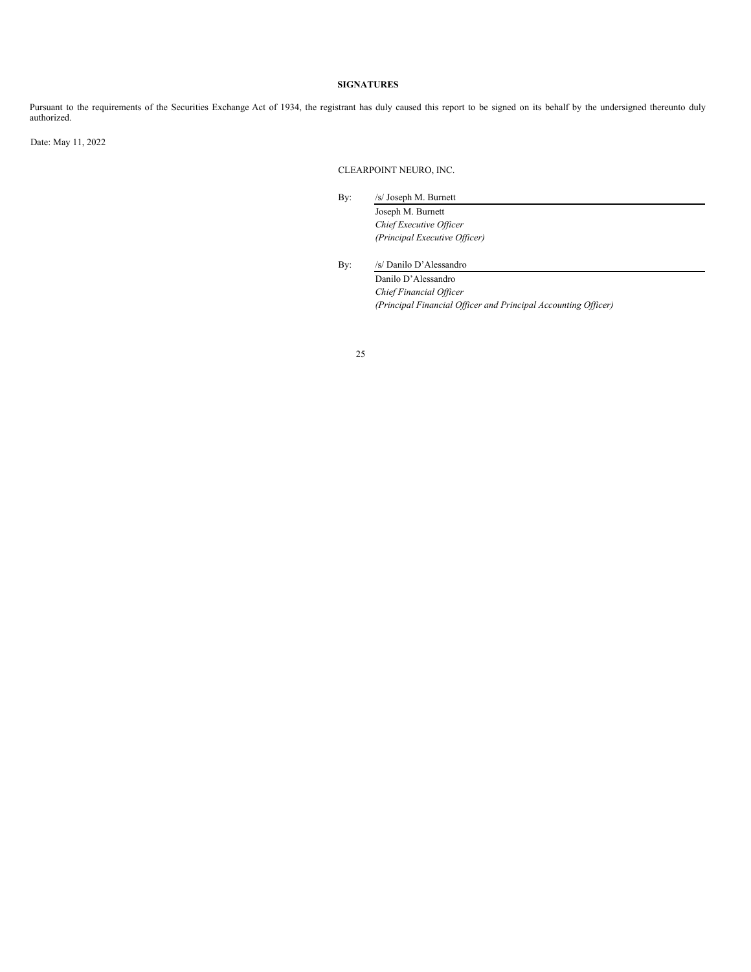## **SIGNATURES**

Pursuant to the requirements of the Securities Exchange Act of 1934, the registrant has duly caused this report to be signed on its behalf by the undersigned thereunto duly authorized.

Date: May 11, 2022

# CLEARPOINT NEURO, INC.

By: /s/ Joseph M. Burnett Joseph M. Burnett *Chief Executive Of icer (Principal Executive Of icer)*

By: /s/ Danilo D'Alessandro

Danilo D'Alessandro *Chief Financial Of icer (Principal Financial Of icer and Principal Accounting Of icer)*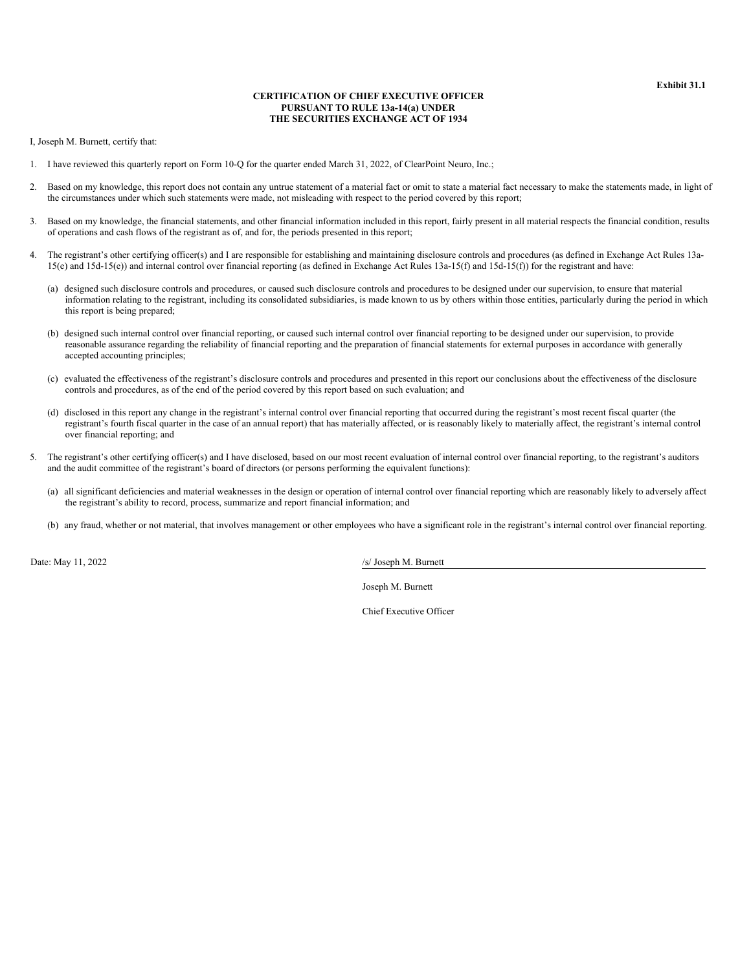## **CERTIFICATION OF CHIEF EXECUTIVE OFFICER PURSUANT TO RULE 13a-14(a) UNDER THE SECURITIES EXCHANGE ACT OF 1934**

<span id="page-29-0"></span>I, Joseph M. Burnett, certify that:

- 1. I have reviewed this quarterly report on Form 10-Q for the quarter ended March 31, 2022, of ClearPoint Neuro, Inc.;
- Based on my knowledge, this report does not contain any untrue statement of a material fact or omit to state a material fact necessary to make the statements made, in light of the circumstances under which such statements were made, not misleading with respect to the period covered by this report;
- 3. Based on my knowledge, the financial statements, and other financial information included in this report, fairly present in all material respects the financial condition, results of operations and cash flows of the registrant as of, and for, the periods presented in this report;
- 4. The registrant's other certifying officer(s) and I are responsible for establishing and maintaining disclosure controls and procedures (as defined in Exchange Act Rules 13a- $15(e)$  and  $15d-15(e)$  and internal control over financial reporting (as defined in Exchange Act Rules  $13a-15(f)$  and  $15d-15(f)$ ) for the registrant and have:
	- (a) designed such disclosure controls and procedures, or caused such disclosure controls and procedures to be designed under our supervision, to ensure that material information relating to the registrant, including its consolidated subsidiaries, is made known to us by others within those entities, particularly during the period in which this report is being prepared;
	- (b) designed such internal control over financial reporting, or caused such internal control over financial reporting to be designed under our supervision, to provide reasonable assurance regarding the reliability of financial reporting and the preparation of financial statements for external purposes in accordance with generally accepted accounting principles;
	- (c) evaluated the effectiveness of the registrant's disclosure controls and procedures and presented in this report our conclusions about the effectiveness of the disclosure controls and procedures, as of the end of the period covered by this report based on such evaluation; and
	- (d) disclosed in this report any change in the registrant's internal control over financial reporting that occurred during the registrant's most recent fiscal quarter (the registrant's fourth fiscal quarter in the case of an annual report) that has materially affected, or is reasonably likely to materially affect, the registrant's internal control over financial reporting; and
- 5. The registrant's other certifying officer(s) and I have disclosed, based on our most recent evaluation of internal control over financial reporting, to the registrant's auditors and the audit committee of the registrant's board of directors (or persons performing the equivalent functions):
	- (a) all significant deficiencies and material weaknesses in the design or operation of internal control over financial reporting which are reasonably likely to adversely affect the registrant's ability to record, process, summarize and report financial information; and
	- (b) any fraud, whether or not material, that involves management or other employees who have a significant role in the registrant's internal control over financial reporting.

Date: May 11, 2022 /s/ Joseph M. Burnett

Joseph M. Burnett

Chief Executive Officer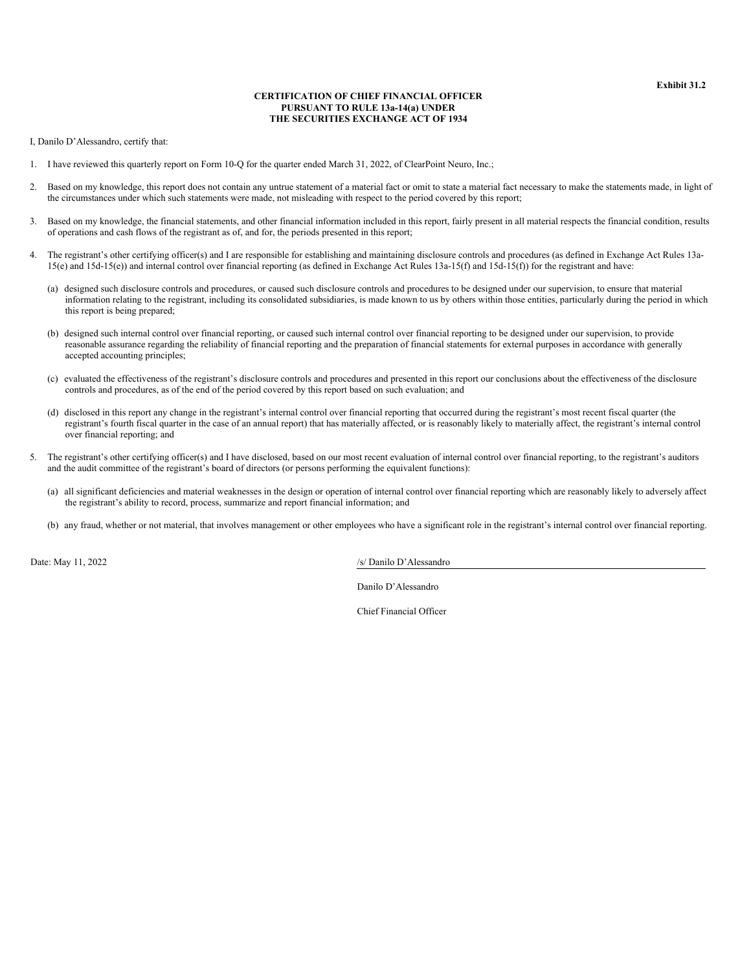## **CERTIFICATION OF CHIEF FINANCIAL OFFICER PURSUANT TO RULE 13a-14(a) UNDER THE SECURITIES EXCHANGE ACT OF 1934**

<span id="page-30-0"></span>I, Danilo D'Alessandro, certify that:

- 1. I have reviewed this quarterly report on Form 10-Q for the quarter ended March 31, 2022, of ClearPoint Neuro, Inc.;
- 2. Based on my knowledge, this report does not contain any untrue statement of a material fact or omit to state a material fact necessary to make the statements made, in light of the circumstances under which such statements were made, not misleading with respect to the period covered by this report;
- 3. Based on my knowledge, the financial statements, and other financial information included in this report, fairly present in all material respects the financial condition, results of operations and cash flows of the registrant as of, and for, the periods presented in this report;
- 4. The registrant's other certifying officer(s) and I are responsible for establishing and maintaining disclosure controls and procedures (as defined in Exchange Act Rules 13a- $15(e)$  and  $15d-15(e)$  and internal control over financial reporting (as defined in Exchange Act Rules  $13a-15(f)$  and  $15d-15(f)$ ) for the registrant and have:
	- (a) designed such disclosure controls and procedures, or caused such disclosure controls and procedures to be designed under our supervision, to ensure that material information relating to the registrant, including its consolidated subsidiaries, is made known to us by others within those entities, particularly during the period in which this report is being prepared;
	- (b) designed such internal control over financial reporting, or caused such internal control over financial reporting to be designed under our supervision, to provide reasonable assurance regarding the reliability of financial reporting and the preparation of financial statements for external purposes in accordance with generally accepted accounting principles;
	- (c) evaluated the effectiveness of the registrant's disclosure controls and procedures and presented in this report our conclusions about the effectiveness of the disclosure controls and procedures, as of the end of the period covered by this report based on such evaluation; and
	- (d) disclosed in this report any change in the registrant's internal control over financial reporting that occurred during the registrant's most recent fiscal quarter (the registrant's fourth fiscal quarter in the case of an annual report) that has materially affected, or is reasonably likely to materially affect, the registrant's internal control over financial reporting; and
- 5. The registrant's other certifying officer(s) and I have disclosed, based on our most recent evaluation of internal control over financial reporting, to the registrant's auditors and the audit committee of the registrant's board of directors (or persons performing the equivalent functions):
	- (a) all significant deficiencies and material weaknesses in the design or operation of internal control over financial reporting which are reasonably likely to adversely affect the registrant's ability to record, process, summarize and report financial information; and
	- (b) any fraud, whether or not material, that involves management or other employees who have a significant role in the registrant's internal control over financial reporting.

Date: May 11, 2022 /s/ Danilo D'Alessandro

Danilo D'Alessandro

Chief Financial Officer